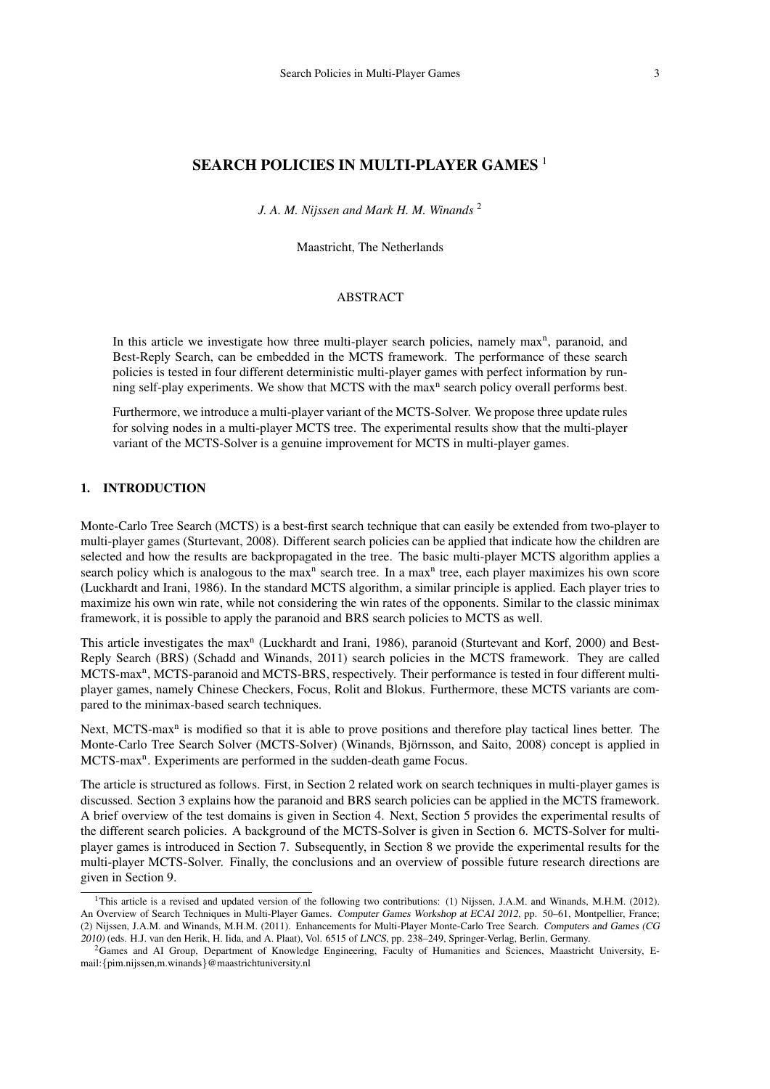# SEARCH POLICIES IN MULTI-PLAYER GAMES<sup>1</sup>

*J. A. M. Nijssen and Mark H. M. Winands* <sup>2</sup>

Maastricht, The Netherlands

### ABSTRACT

In this article we investigate how three multi-player search policies, namely max<sup>n</sup>, paranoid, and Best-Reply Search, can be embedded in the MCTS framework. The performance of these search policies is tested in four different deterministic multi-player games with perfect information by running self-play experiments. We show that MCTS with the max<sup>n</sup> search policy overall performs best.

Furthermore, we introduce a multi-player variant of the MCTS-Solver. We propose three update rules for solving nodes in a multi-player MCTS tree. The experimental results show that the multi-player variant of the MCTS-Solver is a genuine improvement for MCTS in multi-player games.

# 1. INTRODUCTION

Monte-Carlo Tree Search (MCTS) is a best-first search technique that can easily be extended from two-player to multi-player games (Sturtevant, 2008). Different search policies can be applied that indicate how the children are selected and how the results are backpropagated in the tree. The basic multi-player MCTS algorithm applies a search policy which is analogous to the max<sup>n</sup> search tree. In a max<sup>n</sup> tree, each player maximizes his own score (Luckhardt and Irani, 1986). In the standard MCTS algorithm, a similar principle is applied. Each player tries to maximize his own win rate, while not considering the win rates of the opponents. Similar to the classic minimax framework, it is possible to apply the paranoid and BRS search policies to MCTS as well.

This article investigates the max<sup>n</sup> (Luckhardt and Irani, 1986), paranoid (Sturtevant and Korf, 2000) and Best-Reply Search (BRS) (Schadd and Winands, 2011) search policies in the MCTS framework. They are called MCTS-max<sup>n</sup>, MCTS-paranoid and MCTS-BRS, respectively. Their performance is tested in four different multiplayer games, namely Chinese Checkers, Focus, Rolit and Blokus. Furthermore, these MCTS variants are compared to the minimax-based search techniques.

Next, MCTS-max<sup>n</sup> is modified so that it is able to prove positions and therefore play tactical lines better. The Monte-Carlo Tree Search Solver (MCTS-Solver) (Winands, Björnsson, and Saito, 2008) concept is applied in MCTS-max<sup>n</sup>. Experiments are performed in the sudden-death game Focus.

The article is structured as follows. First, in Section 2 related work on search techniques in multi-player games is discussed. Section 3 explains how the paranoid and BRS search policies can be applied in the MCTS framework. A brief overview of the test domains is given in Section 4. Next, Section 5 provides the experimental results of the different search policies. A background of the MCTS-Solver is given in Section 6. MCTS-Solver for multiplayer games is introduced in Section 7. Subsequently, in Section 8 we provide the experimental results for the multi-player MCTS-Solver. Finally, the conclusions and an overview of possible future research directions are given in Section 9.

<sup>&</sup>lt;sup>1</sup>This article is a revised and updated version of the following two contributions: (1) Nijssen, J.A.M. and Winands, M.H.M. (2012). An Overview of Search Techniques in Multi-Player Games. Computer Games Workshop at ECAI 2012, pp. 50–61, Montpellier, France; (2) Nijssen, J.A.M. and Winands, M.H.M. (2011). Enhancements for Multi-Player Monte-Carlo Tree Search. Computers and Games (CG 2010) (eds. H.J. van den Herik, H. Iida, and A. Plaat), Vol. 6515 of LNCS, pp. 238–249, Springer-Verlag, Berlin, Germany.

<sup>&</sup>lt;sup>2</sup>Games and AI Group, Department of Knowledge Engineering, Faculty of Humanities and Sciences, Maastricht University, Email:{pim.nijssen,m.winands}@maastrichtuniversity.nl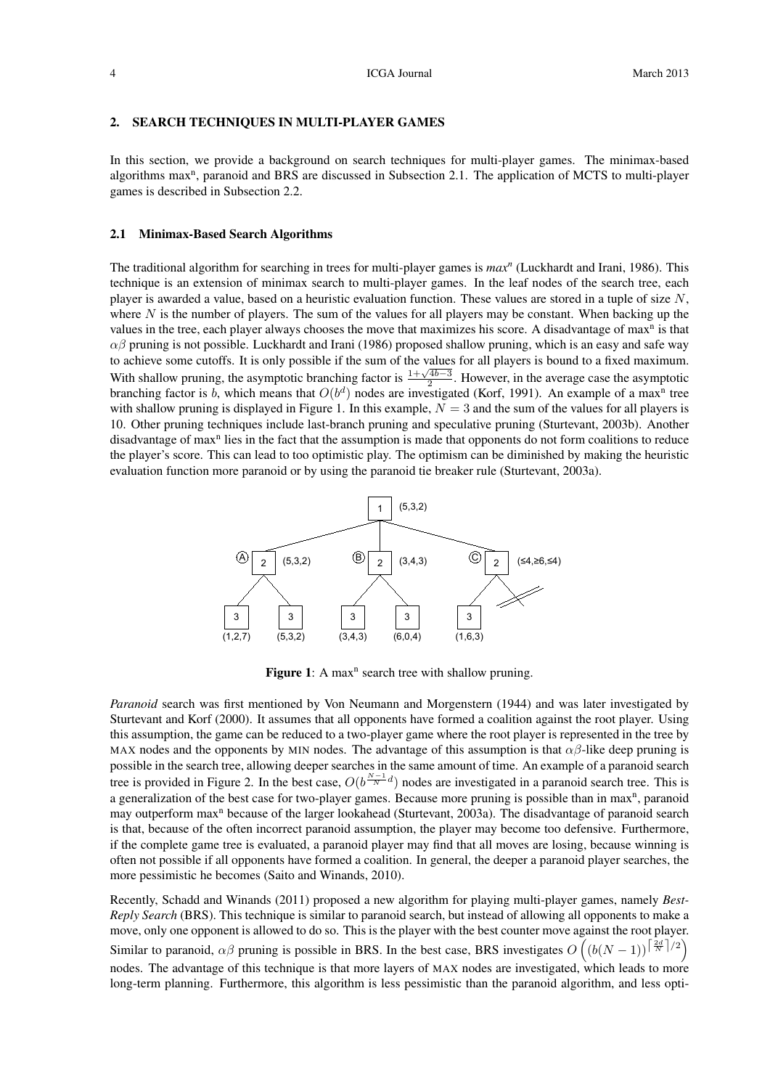#### 2. SEARCH TECHNIQUES IN MULTI-PLAYER GAMES

In this section, we provide a background on search techniques for multi-player games. The minimax-based algorithms max<sup>n</sup>, paranoid and BRS are discussed in Subsection 2.1. The application of MCTS to multi-player games is described in Subsection 2.2.

#### 2.1 Minimax-Based Search Algorithms

The traditional algorithm for searching in trees for multi-player games is *max<sup>n</sup>* (Luckhardt and Irani, 1986). This technique is an extension of minimax search to multi-player games. In the leaf nodes of the search tree, each player is awarded a value, based on a heuristic evaluation function. These values are stored in a tuple of size  $N$ , where  $N$  is the number of players. The sum of the values for all players may be constant. When backing up the values in the tree, each player always chooses the move that maximizes his score. A disadvantage of max<sup>n</sup> is that  $\alpha\beta$  pruning is not possible. Luckhardt and Irani (1986) proposed shallow pruning, which is an easy and safe way to achieve some cutoffs. It is only possible if the sum of the values for all players is bound to a fixed maximum. With shallow pruning, the asymptotic branching factor is  $\frac{1+\sqrt{4b-3}}{2}$ . However, in the average case the asymptotic Vanching factor is  $\frac{1+\sqrt{4b-3}}{2}$ . branching factor is b, which means that  $O(b^d)$  nodes are investigated (Korf, 1991). An example of a max<sup>n</sup> tree with shallow pruning is displayed in Figure 1. In this example,  $N = 3$  and the sum of the values for all players is 10. Other pruning techniques include last-branch pruning and speculative pruning (Sturtevant, 2003b). Another disadvantage of max<sup>n</sup> lies in the fact that the assumption is made that opponents do not form coalitions to reduce the player's score. This can lead to too optimistic play. The optimism can be diminished by making the heuristic evaluation function more paranoid or by using the paranoid tie breaker rule (Sturtevant, 2003a).



Figure 1: A max<sup>n</sup> search tree with shallow pruning.

*Paranoid* search was first mentioned by Von Neumann and Morgenstern (1944) and was later investigated by Sturtevant and Korf (2000). It assumes that all opponents have formed a coalition against the root player. Using this assumption, the game can be reduced to a two-player game where the root player is represented in the tree by MAX nodes and the opponents by MIN nodes. The advantage of this assumption is that  $\alpha\beta$ -like deep pruning is possible in the search tree, allowing deeper searches in the same amount of time. An example of a paranoid search tree is provided in Figure 2. In the best case,  $O(b^{\frac{N-1}{N}d})$  nodes are investigated in a paranoid search tree. This is a generalization of the best case for two-player games. Because more pruning is possible than in max<sup>n</sup>, paranoid may outperform max<sup>n</sup> because of the larger lookahead (Sturtevant, 2003a). The disadvantage of paranoid search is that, because of the often incorrect paranoid assumption, the player may become too defensive. Furthermore, if the complete game tree is evaluated, a paranoid player may find that all moves are losing, because winning is often not possible if all opponents have formed a coalition. In general, the deeper a paranoid player searches, the more pessimistic he becomes (Saito and Winands, 2010).

Recently, Schadd and Winands (2011) proposed a new algorithm for playing multi-player games, namely *Best-Reply Search* (BRS). This technique is similar to paranoid search, but instead of allowing all opponents to make a move, only one opponent is allowed to do so. This is the player with the best counter move against the root player. Similar to paranoid,  $\alpha\beta$  pruning is possible in BRS. In the best case, BRS investigates  $O((b(N-1))^{\lceil \frac{2d}{N} \rceil/2})$ nodes. The advantage of this technique is that more layers of MAX nodes are investigated, which leads to more long-term planning. Furthermore, this algorithm is less pessimistic than the paranoid algorithm, and less opti-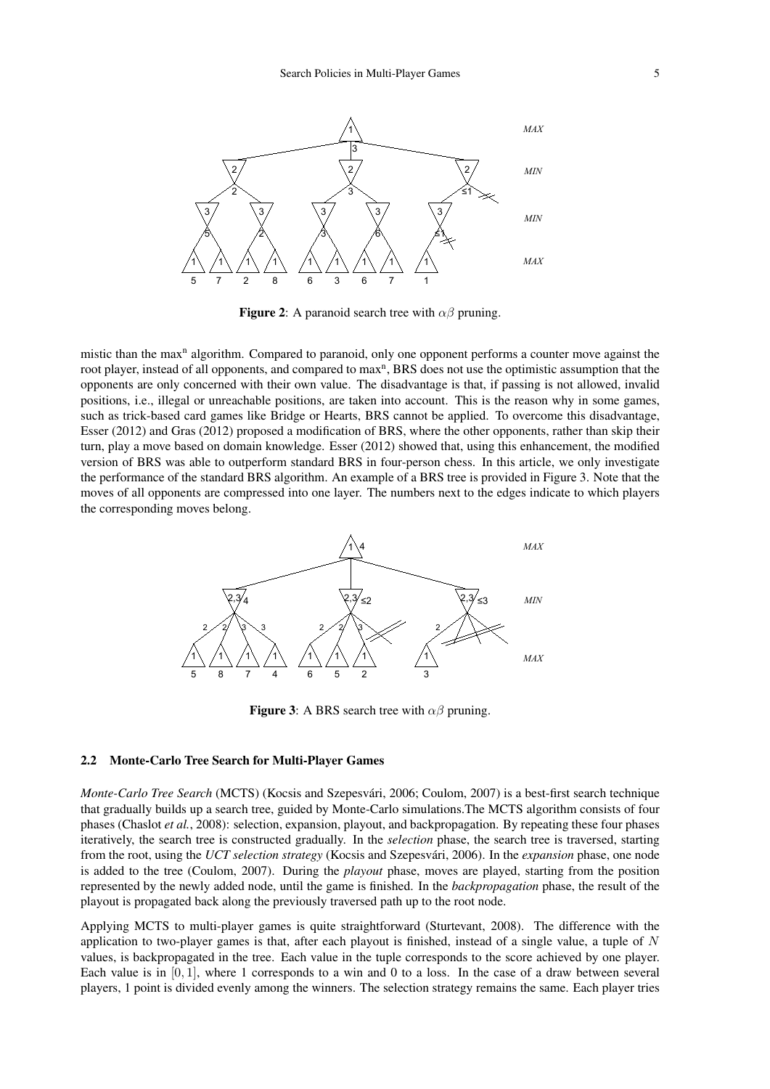

**Figure 2:** A paranoid search tree with  $\alpha\beta$  pruning.

mistic than the max<sup>n</sup> algorithm. Compared to paranoid, only one opponent performs a counter move against the root player, instead of all opponents, and compared to max<sup>n</sup>, BRS does not use the optimistic assumption that the opponents are only concerned with their own value. The disadvantage is that, if passing is not allowed, invalid positions, i.e., illegal or unreachable positions, are taken into account. This is the reason why in some games, such as trick-based card games like Bridge or Hearts, BRS cannot be applied. To overcome this disadvantage, Esser (2012) and Gras (2012) proposed a modification of BRS, where the other opponents, rather than skip their turn, play a move based on domain knowledge. Esser (2012) showed that, using this enhancement, the modified version of BRS was able to outperform standard BRS in four-person chess. In this article, we only investigate the performance of the standard BRS algorithm. An example of a BRS tree is provided in Figure 3. Note that the moves of all opponents are compressed into one layer. The numbers next to the edges indicate to which players the corresponding moves belong.



**Figure 3:** A BRS search tree with  $\alpha\beta$  pruning.

# 2.2 Monte-Carlo Tree Search for Multi-Player Games

*Monte-Carlo Tree Search* (MCTS) (Kocsis and Szepesvári, 2006; Coulom, 2007) is a best-first search technique that gradually builds up a search tree, guided by Monte-Carlo simulations.The MCTS algorithm consists of four phases (Chaslot *et al.*, 2008): selection, expansion, playout, and backpropagation. By repeating these four phases iteratively, the search tree is constructed gradually. In the *selection* phase, the search tree is traversed, starting from the root, using the *UCT selection strategy* (Kocsis and Szepesvári, 2006). In the *expansion* phase, one node is added to the tree (Coulom, 2007). During the *playout* phase, moves are played, starting from the position represented by the newly added node, until the game is finished. In the *backpropagation* phase, the result of the playout is propagated back along the previously traversed path up to the root node.

Applying MCTS to multi-player games is quite straightforward (Sturtevant, 2008). The difference with the application to two-player games is that, after each playout is finished, instead of a single value, a tuple of  $N$ values, is backpropagated in the tree. Each value in the tuple corresponds to the score achieved by one player. Each value is in [0, 1], where 1 corresponds to a win and 0 to a loss. In the case of a draw between several players, 1 point is divided evenly among the winners. The selection strategy remains the same. Each player tries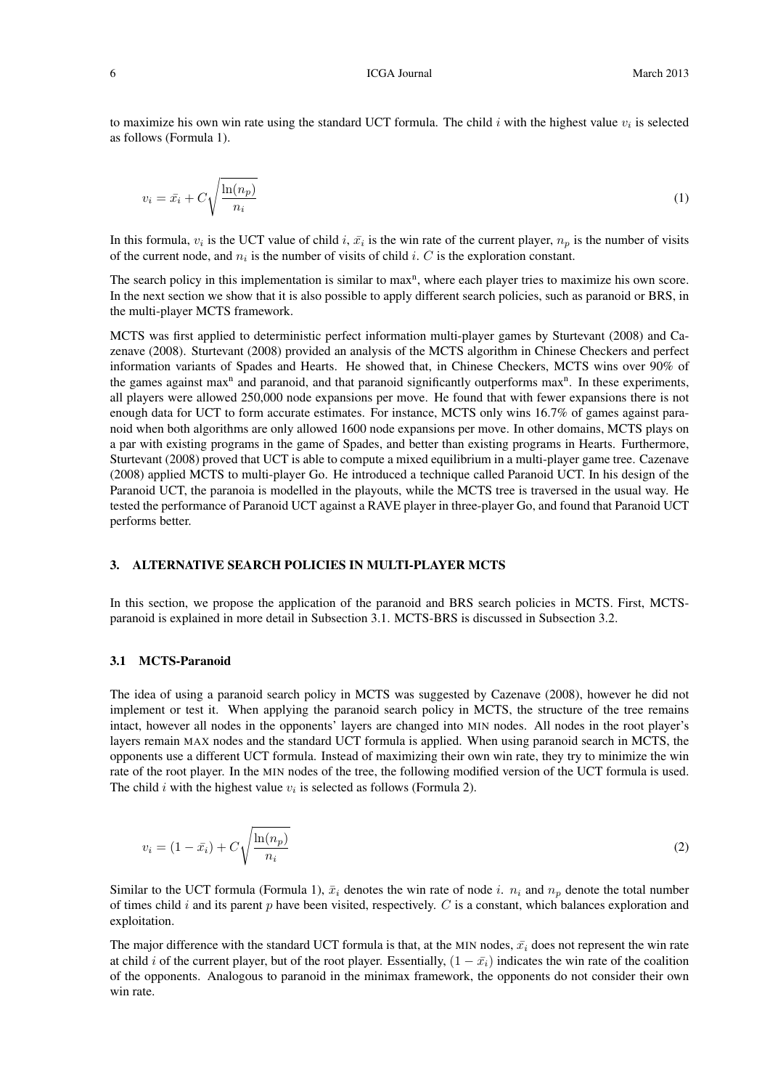#### 6 **ICGA Journal** March 2013

to maximize his own win rate using the standard UCT formula. The child  $i$  with the highest value  $v_i$  is selected as follows (Formula 1).

$$
v_i = \bar{x}_i + C \sqrt{\frac{\ln(n_p)}{n_i}}\tag{1}
$$

In this formula,  $v_i$  is the UCT value of child i,  $\bar{x}_i$  is the win rate of the current player,  $n_p$  is the number of visits of the current node, and  $n_i$  is the number of visits of child i. C is the exploration constant.

The search policy in this implementation is similar to max<sup>n</sup>, where each player tries to maximize his own score. In the next section we show that it is also possible to apply different search policies, such as paranoid or BRS, in the multi-player MCTS framework.

MCTS was first applied to deterministic perfect information multi-player games by Sturtevant (2008) and Cazenave (2008). Sturtevant (2008) provided an analysis of the MCTS algorithm in Chinese Checkers and perfect information variants of Spades and Hearts. He showed that, in Chinese Checkers, MCTS wins over 90% of the games against max<sup>n</sup> and paranoid, and that paranoid significantly outperforms max<sup>n</sup>. In these experiments, all players were allowed 250,000 node expansions per move. He found that with fewer expansions there is not enough data for UCT to form accurate estimates. For instance, MCTS only wins 16.7% of games against paranoid when both algorithms are only allowed 1600 node expansions per move. In other domains, MCTS plays on a par with existing programs in the game of Spades, and better than existing programs in Hearts. Furthermore, Sturtevant (2008) proved that UCT is able to compute a mixed equilibrium in a multi-player game tree. Cazenave (2008) applied MCTS to multi-player Go. He introduced a technique called Paranoid UCT. In his design of the Paranoid UCT, the paranoia is modelled in the playouts, while the MCTS tree is traversed in the usual way. He tested the performance of Paranoid UCT against a RAVE player in three-player Go, and found that Paranoid UCT performs better.

### 3. ALTERNATIVE SEARCH POLICIES IN MULTI-PLAYER MCTS

In this section, we propose the application of the paranoid and BRS search policies in MCTS. First, MCTSparanoid is explained in more detail in Subsection 3.1. MCTS-BRS is discussed in Subsection 3.2.

## 3.1 MCTS-Paranoid

The idea of using a paranoid search policy in MCTS was suggested by Cazenave (2008), however he did not implement or test it. When applying the paranoid search policy in MCTS, the structure of the tree remains intact, however all nodes in the opponents' layers are changed into MIN nodes. All nodes in the root player's layers remain MAX nodes and the standard UCT formula is applied. When using paranoid search in MCTS, the opponents use a different UCT formula. Instead of maximizing their own win rate, they try to minimize the win rate of the root player. In the MIN nodes of the tree, the following modified version of the UCT formula is used. The child i with the highest value  $v_i$  is selected as follows (Formula 2).

$$
v_i = (1 - \bar{x}_i) + C \sqrt{\frac{\ln(n_p)}{n_i}}\tag{2}
$$

Similar to the UCT formula (Formula 1),  $\bar{x}_i$  denotes the win rate of node i.  $n_i$  and  $n_p$  denote the total number of times child  $i$  and its parent  $p$  have been visited, respectively.  $C$  is a constant, which balances exploration and exploitation.

The major difference with the standard UCT formula is that, at the MIN nodes,  $\bar{x}_i$  does not represent the win rate at child i of the current player, but of the root player. Essentially,  $(1 - \bar{x}_i)$  indicates the win rate of the coalition of the opponents. Analogous to paranoid in the minimax framework, the opponents do not consider their own win rate.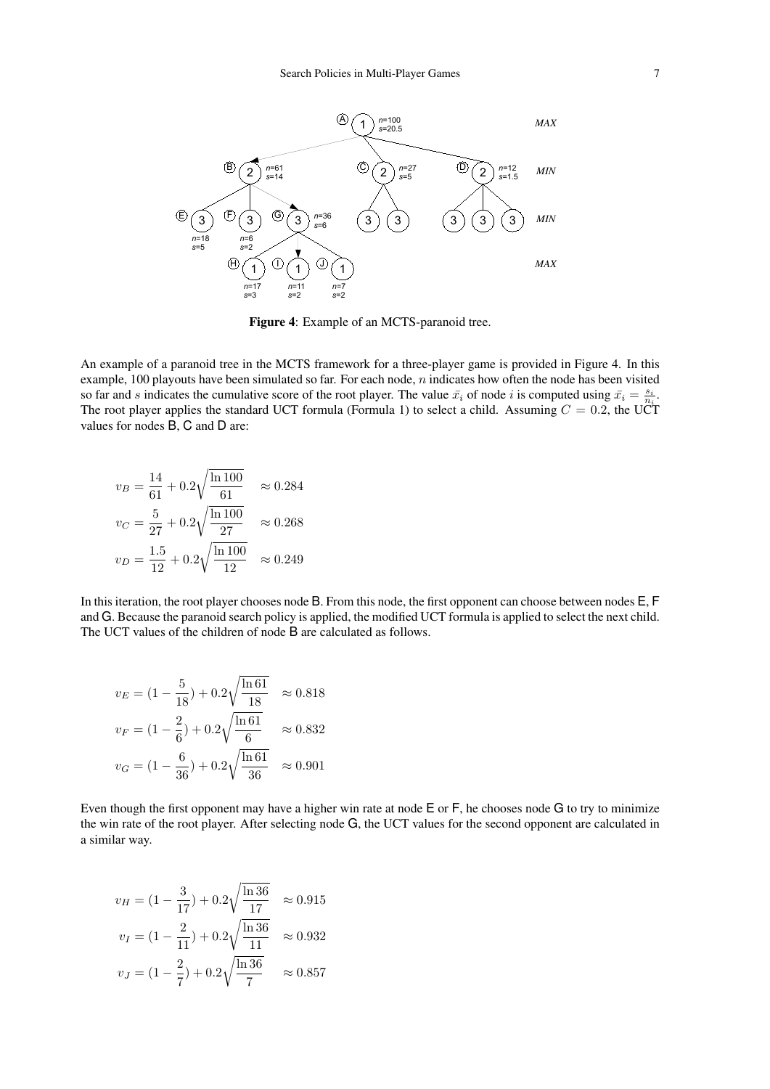

Figure 4: Example of an MCTS-paranoid tree.

An example of a paranoid tree in the MCTS framework for a three-player game is provided in Figure 4. In this example, 100 playouts have been simulated so far. For each node,  $n$  indicates how often the node has been visited so far and s indicates the cumulative score of the root player. The value  $\bar{x}_i$  of node i is computed using  $\bar{x}_i = \frac{s_i}{n_i}$ . The root player applies the standard UCT formula (Formula 1) to select a child. Assuming  $C = 0.2$ , the UCT values for nodes B, C and D are:

$$
v_B = \frac{14}{61} + 0.2\sqrt{\frac{\ln 100}{61}} \approx 0.284
$$
  

$$
v_C = \frac{5}{27} + 0.2\sqrt{\frac{\ln 100}{27}} \approx 0.268
$$
  

$$
v_D = \frac{1.5}{12} + 0.2\sqrt{\frac{\ln 100}{12}} \approx 0.249
$$

In this iteration, the root player chooses node B. From this node, the first opponent can choose between nodes E, F and G. Because the paranoid search policy is applied, the modified UCT formula is applied to select the next child. The UCT values of the children of node B are calculated as follows.

$$
v_E = (1 - \frac{5}{18}) + 0.2\sqrt{\frac{\ln 61}{18}} \approx 0.818
$$
  

$$
v_F = (1 - \frac{2}{6}) + 0.2\sqrt{\frac{\ln 61}{6}} \approx 0.832
$$
  

$$
v_G = (1 - \frac{6}{36}) + 0.2\sqrt{\frac{\ln 61}{36}} \approx 0.901
$$

Even though the first opponent may have a higher win rate at node E or F, he chooses node G to try to minimize the win rate of the root player. After selecting node G, the UCT values for the second opponent are calculated in a similar way.

$$
v_H = (1 - \frac{3}{17}) + 0.2\sqrt{\frac{\ln 36}{17}} \approx 0.915
$$
  

$$
v_I = (1 - \frac{2}{11}) + 0.2\sqrt{\frac{\ln 36}{11}} \approx 0.932
$$
  

$$
v_J = (1 - \frac{2}{7}) + 0.2\sqrt{\frac{\ln 36}{7}} \approx 0.857
$$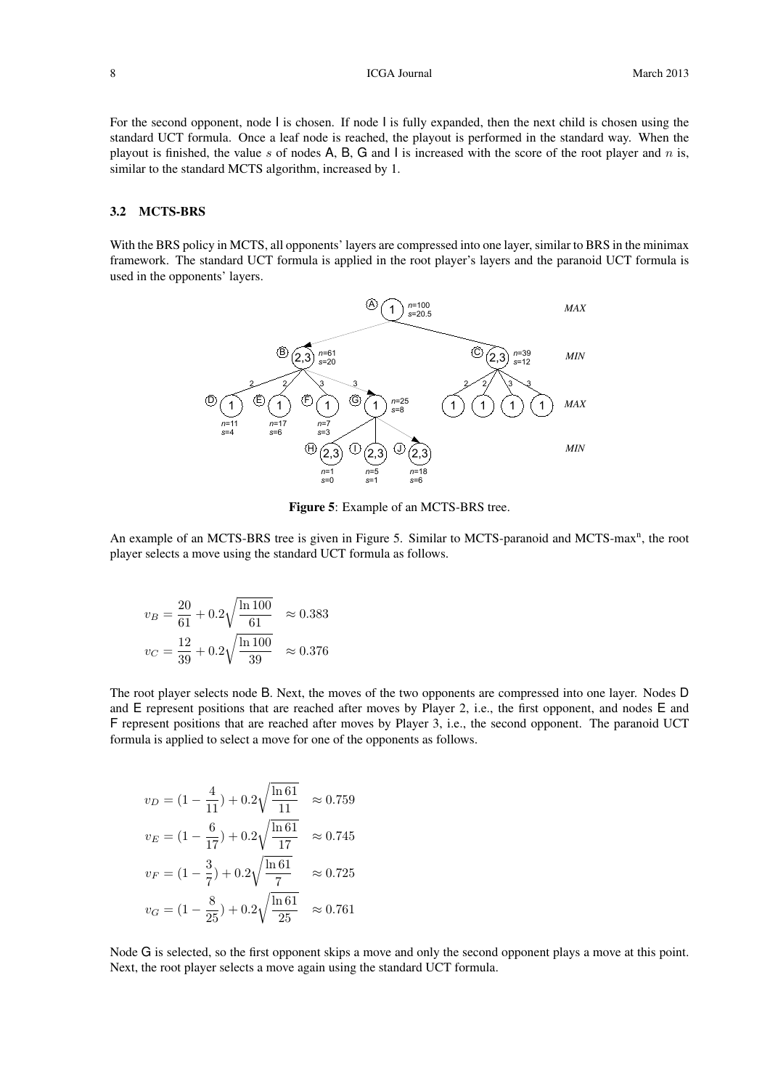For the second opponent, node I is chosen. If node I is fully expanded, then the next child is chosen using the standard UCT formula. Once a leaf node is reached, the playout is performed in the standard way. When the playout is finished, the value s of nodes A, B, G and I is increased with the score of the root player and n is, similar to the standard MCTS algorithm, increased by 1.

## 3.2 MCTS-BRS

With the BRS policy in MCTS, all opponents' layers are compressed into one layer, similar to BRS in the minimax framework. The standard UCT formula is applied in the root player's layers and the paranoid UCT formula is used in the opponents' layers.



Figure 5: Example of an MCTS-BRS tree.

An example of an MCTS-BRS tree is given in Figure 5. Similar to MCTS-paranoid and MCTS-max<sup>n</sup>, the root player selects a move using the standard UCT formula as follows.

$$
v_B = \frac{20}{61} + 0.2\sqrt{\frac{\ln 100}{61}} \approx 0.383
$$
  

$$
v_C = \frac{12}{39} + 0.2\sqrt{\frac{\ln 100}{39}} \approx 0.376
$$

The root player selects node B. Next, the moves of the two opponents are compressed into one layer. Nodes D and E represent positions that are reached after moves by Player 2, i.e., the first opponent, and nodes E and F represent positions that are reached after moves by Player 3, i.e., the second opponent. The paranoid UCT formula is applied to select a move for one of the opponents as follows.

$$
v_D = (1 - \frac{4}{11}) + 0.2\sqrt{\frac{\ln 61}{11}} \approx 0.759
$$
  

$$
v_E = (1 - \frac{6}{17}) + 0.2\sqrt{\frac{\ln 61}{17}} \approx 0.745
$$
  

$$
v_F = (1 - \frac{3}{7}) + 0.2\sqrt{\frac{\ln 61}{7}} \approx 0.725
$$
  

$$
v_G = (1 - \frac{8}{25}) + 0.2\sqrt{\frac{\ln 61}{25}} \approx 0.761
$$

Node G is selected, so the first opponent skips a move and only the second opponent plays a move at this point. Next, the root player selects a move again using the standard UCT formula.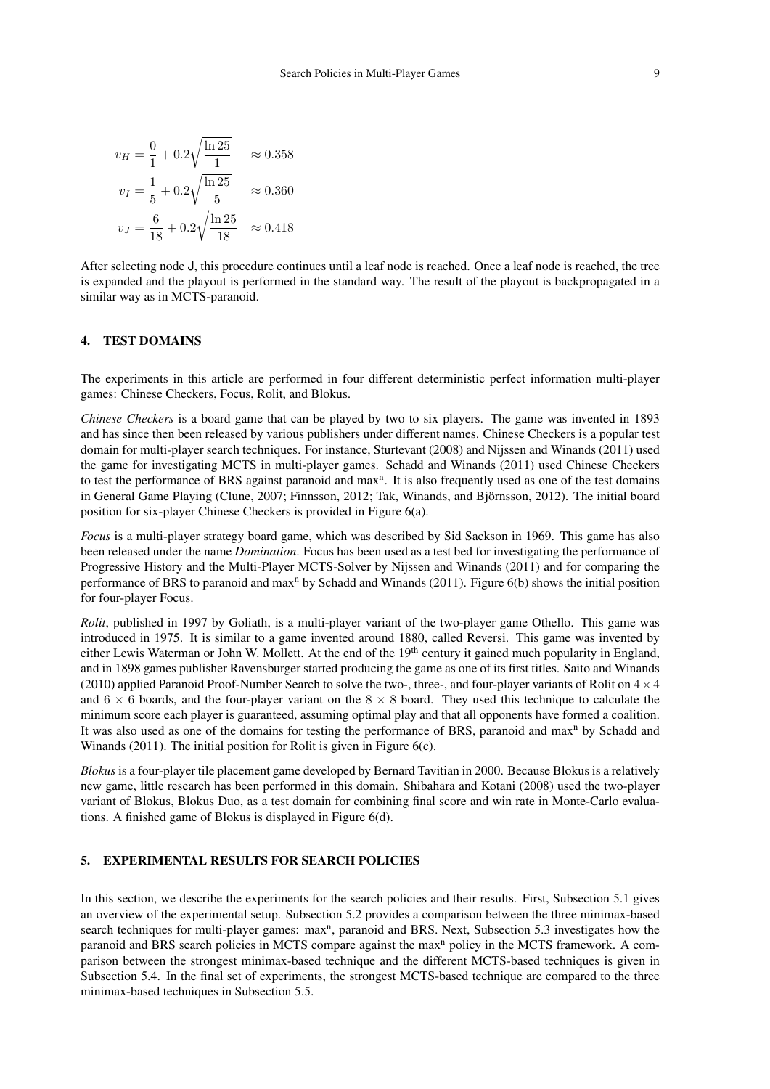$$
v_H = \frac{0}{1} + 0.2\sqrt{\frac{\ln 25}{1}} \approx 0.358
$$
  

$$
v_I = \frac{1}{5} + 0.2\sqrt{\frac{\ln 25}{5}} \approx 0.360
$$
  

$$
v_J = \frac{6}{18} + 0.2\sqrt{\frac{\ln 25}{18}} \approx 0.418
$$

After selecting node J, this procedure continues until a leaf node is reached. Once a leaf node is reached, the tree is expanded and the playout is performed in the standard way. The result of the playout is backpropagated in a similar way as in MCTS-paranoid.

### 4. TEST DOMAINS

The experiments in this article are performed in four different deterministic perfect information multi-player games: Chinese Checkers, Focus, Rolit, and Blokus.

*Chinese Checkers* is a board game that can be played by two to six players. The game was invented in 1893 and has since then been released by various publishers under different names. Chinese Checkers is a popular test domain for multi-player search techniques. For instance, Sturtevant (2008) and Nijssen and Winands (2011) used the game for investigating MCTS in multi-player games. Schadd and Winands (2011) used Chinese Checkers to test the performance of BRS against paranoid and max<sup>n</sup>. It is also frequently used as one of the test domains in General Game Playing (Clune, 2007; Finnsson, 2012; Tak, Winands, and Björnsson, 2012). The initial board position for six-player Chinese Checkers is provided in Figure 6(a).

*Focus* is a multi-player strategy board game, which was described by Sid Sackson in 1969. This game has also been released under the name *Domination*. Focus has been used as a test bed for investigating the performance of Progressive History and the Multi-Player MCTS-Solver by Nijssen and Winands (2011) and for comparing the performance of BRS to paranoid and max<sup>n</sup> by Schadd and Winands (2011). Figure 6(b) shows the initial position for four-player Focus.

*Rolit*, published in 1997 by Goliath, is a multi-player variant of the two-player game Othello. This game was introduced in 1975. It is similar to a game invented around 1880, called Reversi. This game was invented by either Lewis Waterman or John W. Mollett. At the end of the 19<sup>th</sup> century it gained much popularity in England, and in 1898 games publisher Ravensburger started producing the game as one of its first titles. Saito and Winands (2010) applied Paranoid Proof-Number Search to solve the two-, three-, and four-player variants of Rolit on  $4 \times 4$ and  $6 \times 6$  boards, and the four-player variant on the  $8 \times 8$  board. They used this technique to calculate the minimum score each player is guaranteed, assuming optimal play and that all opponents have formed a coalition. It was also used as one of the domains for testing the performance of BRS, paranoid and max<sup>n</sup> by Schadd and Winands (2011). The initial position for Rolit is given in Figure 6(c).

*Blokus* is a four-player tile placement game developed by Bernard Tavitian in 2000. Because Blokus is a relatively new game, little research has been performed in this domain. Shibahara and Kotani (2008) used the two-player variant of Blokus, Blokus Duo, as a test domain for combining final score and win rate in Monte-Carlo evaluations. A finished game of Blokus is displayed in Figure 6(d).

# 5. EXPERIMENTAL RESULTS FOR SEARCH POLICIES

In this section, we describe the experiments for the search policies and their results. First, Subsection 5.1 gives an overview of the experimental setup. Subsection 5.2 provides a comparison between the three minimax-based search techniques for multi-player games: max<sup>n</sup>, paranoid and BRS. Next, Subsection 5.3 investigates how the paranoid and BRS search policies in MCTS compare against the max<sup>n</sup> policy in the MCTS framework. A comparison between the strongest minimax-based technique and the different MCTS-based techniques is given in Subsection 5.4. In the final set of experiments, the strongest MCTS-based technique are compared to the three minimax-based techniques in Subsection 5.5.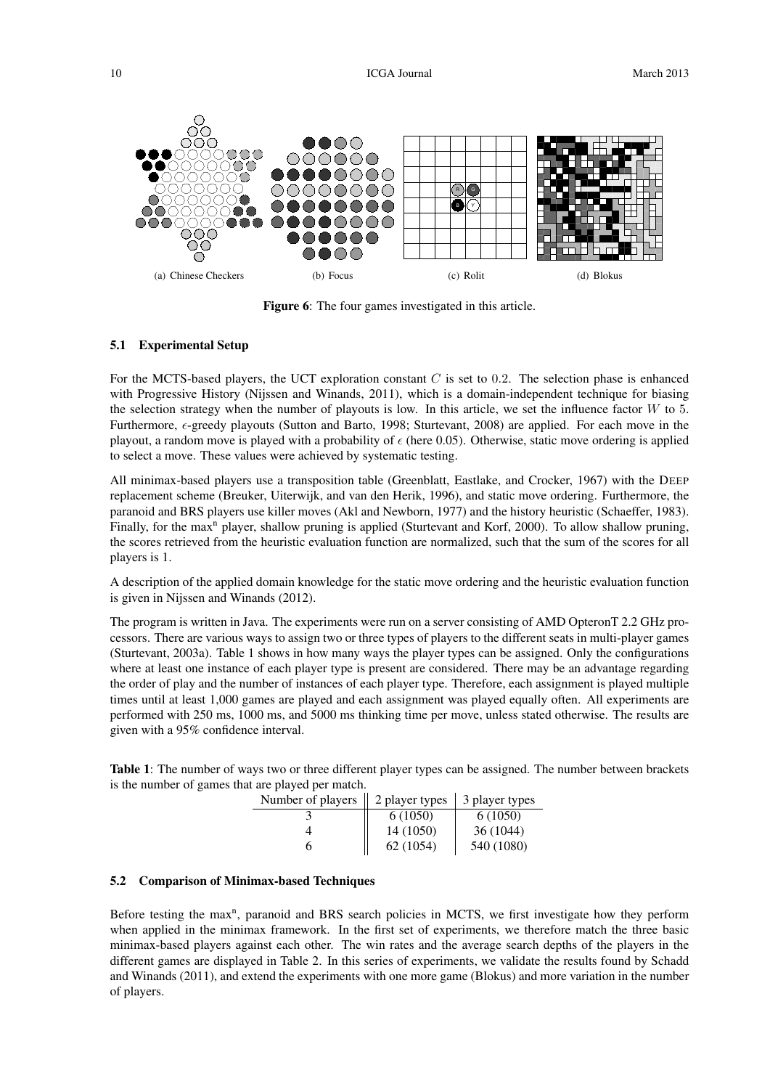

Figure 6: The four games investigated in this article.

## 5.1 Experimental Setup

For the MCTS-based players, the UCT exploration constant  $C$  is set to 0.2. The selection phase is enhanced with Progressive History (Nijssen and Winands, 2011), which is a domain-independent technique for biasing the selection strategy when the number of playouts is low. In this article, we set the influence factor  $W$  to 5. Furthermore,  $\epsilon$ -greedy playouts (Sutton and Barto, 1998; Sturtevant, 2008) are applied. For each move in the playout, a random move is played with a probability of  $\epsilon$  (here 0.05). Otherwise, static move ordering is applied to select a move. These values were achieved by systematic testing.

All minimax-based players use a transposition table (Greenblatt, Eastlake, and Crocker, 1967) with the DEEP replacement scheme (Breuker, Uiterwijk, and van den Herik, 1996), and static move ordering. Furthermore, the paranoid and BRS players use killer moves (Akl and Newborn, 1977) and the history heuristic (Schaeffer, 1983). Finally, for the max<sup>n</sup> player, shallow pruning is applied (Sturtevant and Korf, 2000). To allow shallow pruning, the scores retrieved from the heuristic evaluation function are normalized, such that the sum of the scores for all players is 1.

A description of the applied domain knowledge for the static move ordering and the heuristic evaluation function is given in Nijssen and Winands (2012).

The program is written in Java. The experiments were run on a server consisting of AMD OpteronT 2.2 GHz processors. There are various ways to assign two or three types of players to the different seats in multi-player games (Sturtevant, 2003a). Table 1 shows in how many ways the player types can be assigned. Only the configurations where at least one instance of each player type is present are considered. There may be an advantage regarding the order of play and the number of instances of each player type. Therefore, each assignment is played multiple times until at least 1,000 games are played and each assignment was played equally often. All experiments are performed with 250 ms, 1000 ms, and 5000 ms thinking time per move, unless stated otherwise. The results are given with a 95% confidence interval.

Table 1: The number of ways two or three different player types can be assigned. The number between brackets is the number of games that are played per match.

| Number of players    2 player types |           | 3 player types |
|-------------------------------------|-----------|----------------|
|                                     | 6(1050)   | 6(1050)        |
|                                     | 14 (1050) | 36(1044)       |
|                                     | 62 (1054) | 540 (1080)     |

#### 5.2 Comparison of Minimax-based Techniques

Before testing the max<sup>n</sup>, paranoid and BRS search policies in MCTS, we first investigate how they perform when applied in the minimax framework. In the first set of experiments, we therefore match the three basic minimax-based players against each other. The win rates and the average search depths of the players in the different games are displayed in Table 2. In this series of experiments, we validate the results found by Schadd and Winands (2011), and extend the experiments with one more game (Blokus) and more variation in the number of players.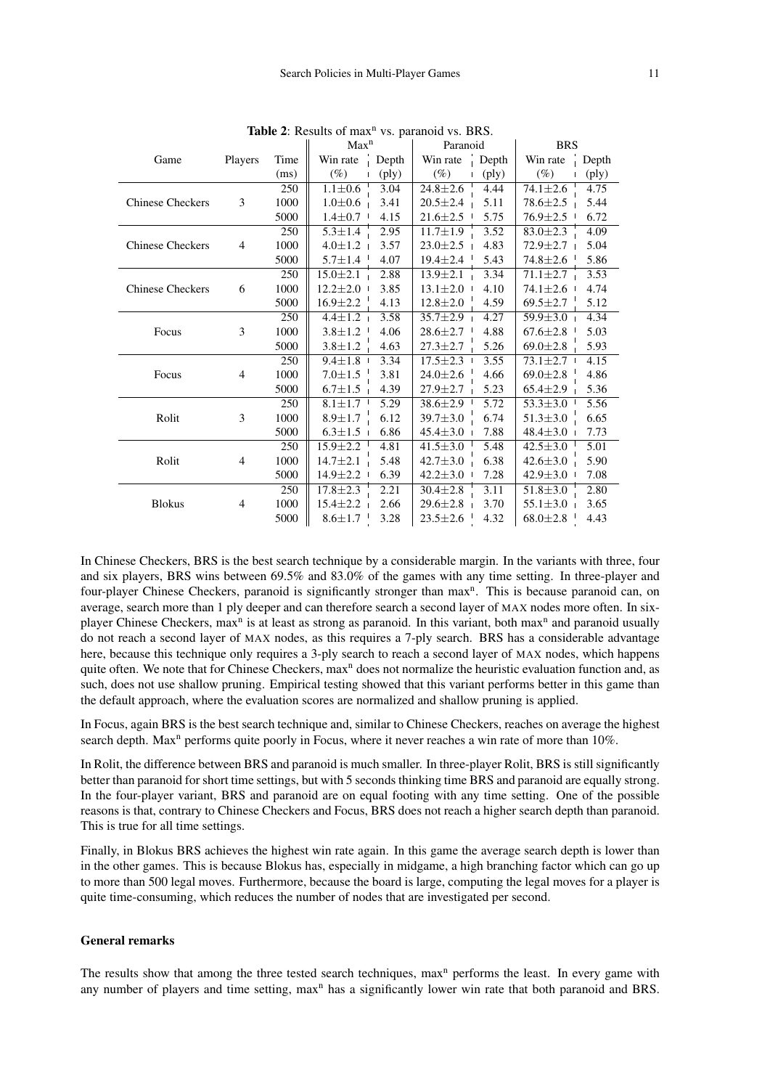|                         |                |      | Max <sup>n</sup> |                | Paranoid       |                | <b>BRS</b>                |                |
|-------------------------|----------------|------|------------------|----------------|----------------|----------------|---------------------------|----------------|
| Game                    | Players        | Time | Win rate         | Depth          | Win rate       | Depth          | Win rate                  | Depth          |
|                         |                | (ms) | $(\%)$           | $(\text{ply})$ | $(\%)$         | $(\text{ply})$ | $(\%)$                    | $(\text{ply})$ |
|                         |                | 250  | $1.1 \pm 0.6$    | 3.04           | $24.8 \pm 2.6$ | 4.44           | $\overline{74.1} \pm 2.6$ | 4.75           |
| <b>Chinese Checkers</b> | 3              | 1000 | $1.0 \pm 0.6$    | 3.41           | $20.5 \pm 2.4$ | 5.11           | $78.6 \pm 2.5$            | 5.44           |
|                         |                | 5000 | $1.4 \pm 0.7$    | 4.15           | $21.6 \pm 2.5$ | 5.75           | $76.9 \pm 2.5$            | 6.72           |
|                         |                | 250  | $5.3 \pm 1.4$    | 2.95           | $11.7 \pm 1.9$ | 3.52           | $83.0 \pm 2.3$            | 4.09           |
| <b>Chinese Checkers</b> | $\overline{4}$ | 1000 | $4.0 \pm 1.2$    | 3.57           | $23.0 \pm 2.5$ | 4.83           | $72.9 \pm 2.7$            | 5.04           |
|                         |                | 5000 | $5.7 \pm 1.4$    | 4.07           | $19.4 \pm 2.4$ | 5.43           | $74.8 \pm 2.6$            | 5.86           |
|                         |                | 250  | $15.0 \pm 2.1$   | 2.88           | $13.9 \pm 2.1$ | 3.34           | $71.1 \pm 2.7$            | 3.53           |
| <b>Chinese Checkers</b> | 6              | 1000 | $12.2 \pm 2.0$   | 3.85           | $13.1 \pm 2.0$ | 4.10           | $74.1 \pm 2.6$            | 4.74           |
|                         |                | 5000 | $16.9 \pm 2.2$   | 4.13           | $12.8 \pm 2.0$ | 4.59           | $69.5 \pm 2.7$            | 5.12           |
|                         |                | 250  | $4.4 \pm 1.2$    | 3.58           | $35.7 \pm 2.9$ | 4.27           | $59.9 \pm 3.0$            | 4.34           |
| Focus                   | 3              | 1000 | $3.8 \pm 1.2$    | 4.06           | $28.6 \pm 2.7$ | 4.88           | $67.6 \pm 2.8$            | 5.03           |
|                         |                | 5000 | $3.8 \pm 1.2$    | 4.63           | $27.3 \pm 2.7$ | 5.26           | $69.0 \pm 2.8$            | 5.93           |
|                         |                | 250  | $9.4 \pm 1.8$    | 3.34           | $17.5 \pm 2.3$ | 3.55           | $73.1 \pm 2.7$            | 4.15           |
| Focus                   | $\overline{4}$ | 1000 | $7.0 \pm 1.5$    | 3.81           | $24.0 \pm 2.6$ | 4.66           | $69.0 \pm 2.8$            | 4.86           |
|                         |                | 5000 | $6.7 \pm 1.5$    | 4.39           | $27.9 \pm 2.7$ | 5.23           | $65.4 \pm 2.9$            | 5.36           |
|                         |                | 250  | $8.1 \pm 1.7$    | 5.29           | $38.6 \pm 2.9$ | 5.72           | $53.3 \pm 3.0$            | 5.56           |
| Rolit                   | 3              | 1000 | $8.9 \pm 1.7$    | 6.12           | $39.7 \pm 3.0$ | 6.74           | $51.3 \pm 3.0$            | 6.65           |
|                         |                | 5000 | $6.3 \pm 1.5$    | 6.86           | $45.4 \pm 3.0$ | 7.88           | $48.4 \pm 3.0$            | 7.73           |
|                         |                | 250  | $15.9 \pm 2.2$   | 4.81           | $41.5 \pm 3.0$ | 5.48           | $42.5 \pm 3.0$            | 5.01           |
| Rolit                   | $\overline{4}$ | 1000 | $14.7 \pm 2.1$   | 5.48           | $42.7 \pm 3.0$ | 6.38           | $42.6 \pm 3.0$            | 5.90           |
|                         |                | 5000 | $14.9 \pm 2.2$   | 6.39           | $42.2 \pm 3.0$ | 7.28           | $42.9 \pm 3.0$            | 7.08           |
|                         |                | 250  | $17.8 \pm 2.3$   | 2.21           | $30.4 \pm 2.8$ | 3.11           | $51.8 \pm 3.0$            | 2.80           |
| <b>Blokus</b>           | $\overline{4}$ | 1000 | $15.4 \pm 2.2$   | 2.66           | $29.6 \pm 2.8$ | 3.70           | $55.1 \pm 3.0$            | 3.65           |
|                         |                | 5000 | $8.6 \pm 1.7$    | 3.28           | $23.5 \pm 2.6$ | 4.32           | $68.0 \pm 2.8$            | 4.43           |

Table 2: Results of  $max<sup>n</sup>$  vs. paranoid vs. BRS.

In Chinese Checkers, BRS is the best search technique by a considerable margin. In the variants with three, four and six players, BRS wins between 69.5% and 83.0% of the games with any time setting. In three-player and four-player Chinese Checkers, paranoid is significantly stronger than max<sup>n</sup>. This is because paranoid can, on average, search more than 1 ply deeper and can therefore search a second layer of MAX nodes more often. In sixplayer Chinese Checkers, max<sup>n</sup> is at least as strong as paranoid. In this variant, both max<sup>n</sup> and paranoid usually do not reach a second layer of MAX nodes, as this requires a 7-ply search. BRS has a considerable advantage here, because this technique only requires a 3-ply search to reach a second layer of MAX nodes, which happens quite often. We note that for Chinese Checkers, max<sup>n</sup> does not normalize the heuristic evaluation function and, as such, does not use shallow pruning. Empirical testing showed that this variant performs better in this game than the default approach, where the evaluation scores are normalized and shallow pruning is applied.

In Focus, again BRS is the best search technique and, similar to Chinese Checkers, reaches on average the highest search depth. Max<sup>n</sup> performs quite poorly in Focus, where it never reaches a win rate of more than 10%.

In Rolit, the difference between BRS and paranoid is much smaller. In three-player Rolit, BRS is still significantly better than paranoid for short time settings, but with 5 seconds thinking time BRS and paranoid are equally strong. In the four-player variant, BRS and paranoid are on equal footing with any time setting. One of the possible reasons is that, contrary to Chinese Checkers and Focus, BRS does not reach a higher search depth than paranoid. This is true for all time settings.

Finally, in Blokus BRS achieves the highest win rate again. In this game the average search depth is lower than in the other games. This is because Blokus has, especially in midgame, a high branching factor which can go up to more than 500 legal moves. Furthermore, because the board is large, computing the legal moves for a player is quite time-consuming, which reduces the number of nodes that are investigated per second.

## General remarks

The results show that among the three tested search techniques, max<sup>n</sup> performs the least. In every game with any number of players and time setting,  $max<sup>n</sup>$  has a significantly lower win rate that both paranoid and BRS.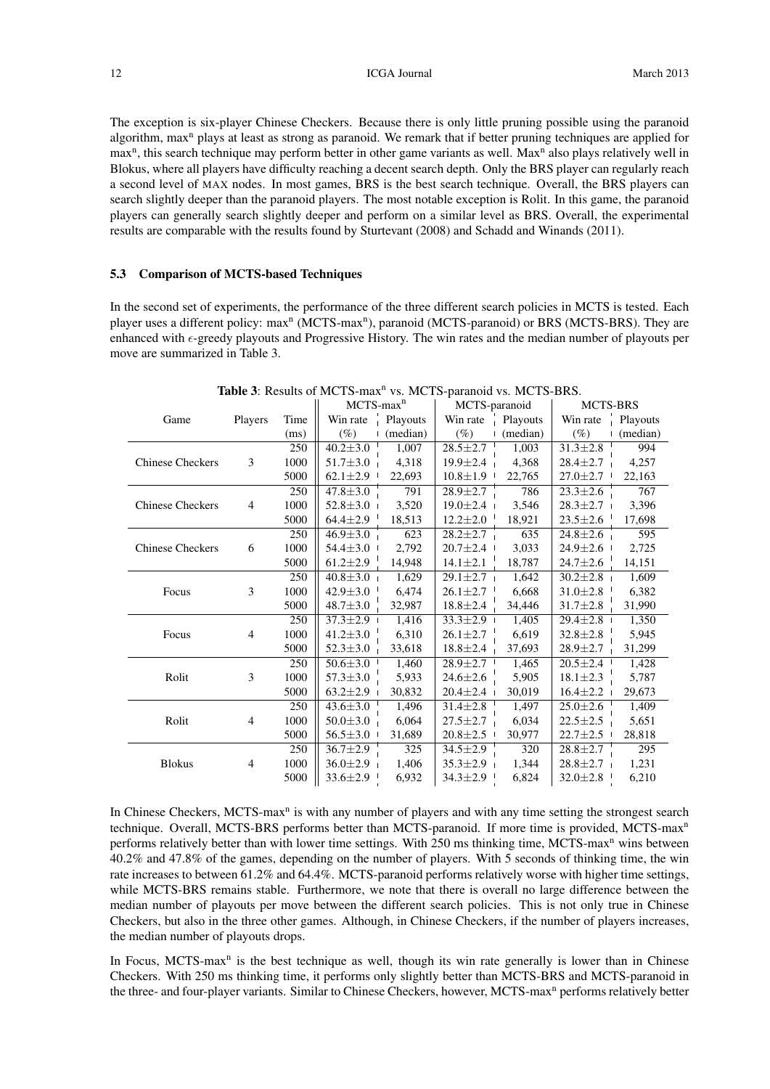12 **ICGA Journal** March 2013

The exception is six-player Chinese Checkers. Because there is only little pruning possible using the paranoid algorithm, max<sup>n</sup> plays at least as strong as paranoid. We remark that if better pruning techniques are applied for max<sup>n</sup>, this search technique may perform better in other game variants as well. Max<sup>n</sup> also plays relatively well in Blokus, where all players have difficulty reaching a decent search depth. Only the BRS player can regularly reach a second level of MAX nodes. In most games, BRS is the best search technique. Overall, the BRS players can search slightly deeper than the paranoid players. The most notable exception is Rolit. In this game, the paranoid players can generally search slightly deeper and perform on a similar level as BRS. Overall, the experimental results are comparable with the results found by Sturtevant (2008) and Schadd and Winands (2011).

## 5.3 Comparison of MCTS-based Techniques

In the second set of experiments, the performance of the three different search policies in MCTS is tested. Each player uses a different policy: max<sup>n</sup> (MCTS-max<sup>n</sup>), paranoid (MCTS-paranoid) or BRS (MCTS-BRS). They are enhanced with  $\epsilon$ -greedy playouts and Progressive History. The win rates and the median number of playouts per move are summarized in Table 3.

|                         |                |      | $MCTS$ -max $n$ |          | MCTS-paranoid  |          | MCTS-BRS       |                        |
|-------------------------|----------------|------|-----------------|----------|----------------|----------|----------------|------------------------|
| Game                    | Players        | Time | Win rate        | Playouts | Win rate       | Playouts | Win rate       | $\frac{1}{1}$ Playouts |
|                         |                | (ms) | $(\%)$          | (median) | $(\%)$         | (median) | $(\%)$         | $\lnot$ (median)       |
|                         |                | 250  | $40.2 \pm 3.0$  | 1,007    | $28.5 \pm 2.7$ | 1,003    | $31.3 \pm 2.8$ | 994                    |
| <b>Chinese Checkers</b> | 3              | 1000 | $51.7 \pm 3.0$  | 4,318    | $19.9 \pm 2.4$ | 4,368    | $28.4 \pm 2.7$ | 4,257                  |
|                         |                | 5000 | $62.1 \pm 2.9$  | 22,693   | $10.8 \pm 1.9$ | 22,765   | $27.0 \pm 2.7$ | 22,163                 |
|                         |                | 250  | $47.8 \pm 3.0$  | 791      | $28.9 \pm 2.7$ | 786      | $23.3 \pm 2.6$ | 767                    |
| <b>Chinese Checkers</b> | 4              | 1000 | $52.8 \pm 3.0$  | 3,520    | $19.0 \pm 2.4$ | 3,546    | $28.3 \pm 2.7$ | 3,396                  |
|                         |                | 5000 | $64.4 \pm 2.9$  | 18,513   | $12.2 \pm 2.0$ | 18,921   | $23.5 \pm 2.6$ | 17,698                 |
|                         |                | 250  | $46.9 \pm 3.0$  | 623      | $28.2 \pm 2.7$ | 635      | $24.8 \pm 2.6$ | 595                    |
| <b>Chinese Checkers</b> | 6              | 1000 | $54.4 \pm 3.0$  | 2,792    | $20.7 \pm 2.4$ | 3,033    | $24.9 \pm 2.6$ | 2,725                  |
|                         |                | 5000 | $61.2 \pm 2.9$  | 14,948   | $14.1 \pm 2.1$ | 18,787   | $24.7 \pm 2.6$ | 14,151                 |
|                         |                | 250  | $40.8 \pm 3.0$  | 1,629    | $29.1 \pm 2.7$ | 1,642    | $30.2 \pm 2.8$ | 1,609                  |
| Focus                   | 3              | 1000 | $42.9 \pm 3.0$  | 6,474    | $26.1 \pm 2.7$ | 6,668    | $31.0 \pm 2.8$ | 6,382                  |
|                         |                | 5000 | $48.7 \pm 3.0$  | 32,987   | $18.8 \pm 2.4$ | 34,446   | $31.7 \pm 2.8$ | 31,990                 |
|                         |                | 250  | $37.3 \pm 2.9$  | 1,416    | $33.3 \pm 2.9$ | 1,405    | $29.4 \pm 2.8$ | 1,350                  |
| Focus                   | 4              | 1000 | $41.2 \pm 3.0$  | 6,310    | $26.1 \pm 2.7$ | 6,619    | $32.8 \pm 2.8$ | 5,945                  |
|                         |                | 5000 | $52.3 \pm 3.0$  | 33,618   | $18.8 \pm 2.4$ | 37,693   | $28.9 \pm 2.7$ | 31,299                 |
|                         |                | 250  | $50.6 \pm 3.0$  | 1,460    | $28.9 \pm 2.7$ | 1,465    | $20.5 \pm 2.4$ | 1,428                  |
| Rolit                   | 3              | 1000 | $57.3 \pm 3.0$  | 5,933    | $24.6 \pm 2.6$ | 5,905    | $18.1 \pm 2.3$ | 5,787                  |
|                         |                | 5000 | $63.2 \pm 2.9$  | 30,832   | $20.4 \pm 2.4$ | 30,019   | $16.4 \pm 2.2$ | 29,673                 |
|                         |                | 250  | $43.6 \pm 3.0$  | 1,496    | $31.4 \pm 2.8$ | 1,497    | $25.0 \pm 2.6$ | 1,409                  |
| Rolit                   | $\overline{4}$ | 1000 | $50.0 \pm 3.0$  | 6,064    | $27.5 \pm 2.7$ | 6,034    | $22.5 \pm 2.5$ | 5,651                  |
|                         |                | 5000 | $56.5 \pm 3.0$  | 31,689   | $20.8 \pm 2.5$ | 30,977   | $22.7 \pm 2.5$ | 28,818                 |
|                         |                | 250  | $36.7 \pm 2.9$  | 325      | $34.5 \pm 2.9$ | 320      | $28.8 \pm 2.7$ | 295                    |
| <b>Blokus</b>           | $\overline{4}$ | 1000 | $36.0 \pm 2.9$  | 1,406    | $35.3 \pm 2.9$ | 1,344    | $28.8 \pm 2.7$ | 1,231                  |
|                         |                | 5000 | $33.6 \pm 2.9$  | 6,932    | $34.3 \pm 2.9$ | 6,824    | $32.0 \pm 2.8$ | 6,210                  |

Table 3: Results of MCTS-max<sup>n</sup> vs. MCTS-paranoid vs. MCTS-BRS.

In Chinese Checkers, MCTS-max<sup>n</sup> is with any number of players and with any time setting the strongest search technique. Overall, MCTS-BRS performs better than MCTS-paranoid. If more time is provided, MCTS-max<sup>n</sup> performs relatively better than with lower time settings. With 250 ms thinking time, MCTS-max<sup>n</sup> wins between 40.2% and 47.8% of the games, depending on the number of players. With 5 seconds of thinking time, the win rate increases to between 61.2% and 64.4%. MCTS-paranoid performs relatively worse with higher time settings, while MCTS-BRS remains stable. Furthermore, we note that there is overall no large difference between the median number of playouts per move between the different search policies. This is not only true in Chinese Checkers, but also in the three other games. Although, in Chinese Checkers, if the number of players increases, the median number of playouts drops.

In Focus, MCTS-max<sup>n</sup> is the best technique as well, though its win rate generally is lower than in Chinese Checkers. With 250 ms thinking time, it performs only slightly better than MCTS-BRS and MCTS-paranoid in the three- and four-player variants. Similar to Chinese Checkers, however, MCTS-max<sup>n</sup> performs relatively better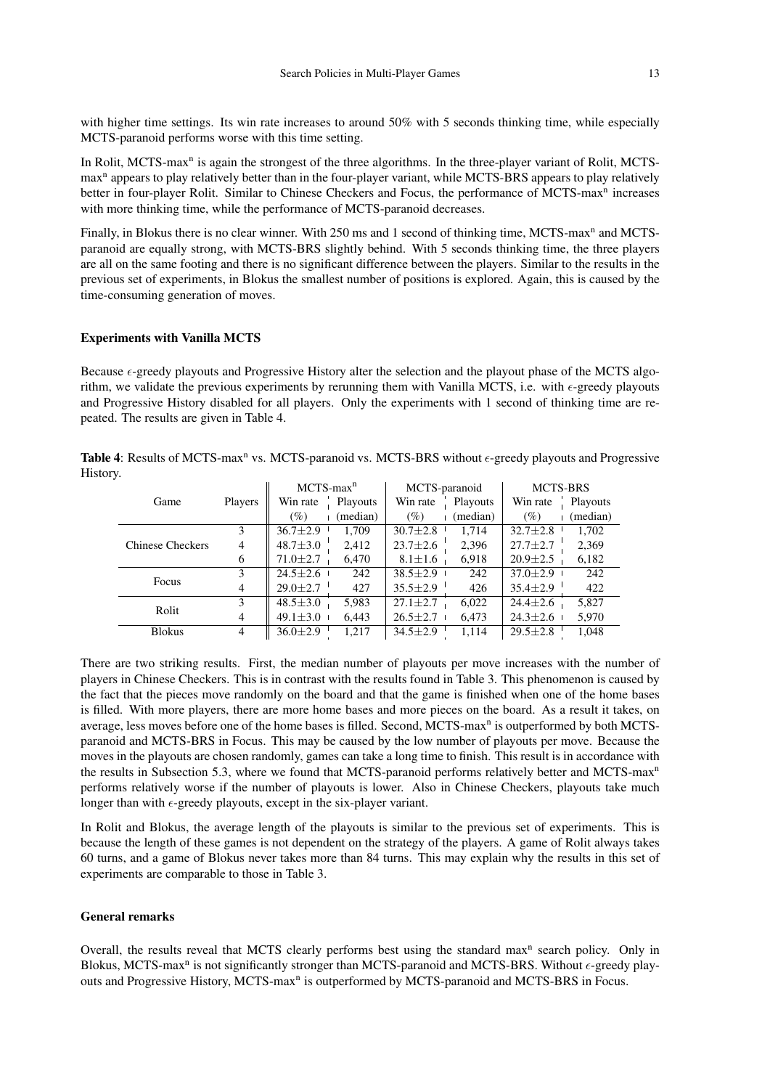with higher time settings. Its win rate increases to around 50% with 5 seconds thinking time, while especially MCTS-paranoid performs worse with this time setting.

In Rolit, MCTS-max<sup>n</sup> is again the strongest of the three algorithms. In the three-player variant of Rolit, MCTSmax<sup>n</sup> appears to play relatively better than in the four-player variant, while MCTS-BRS appears to play relatively better in four-player Rolit. Similar to Chinese Checkers and Focus, the performance of MCTS-max<sup>n</sup> increases with more thinking time, while the performance of MCTS-paranoid decreases.

Finally, in Blokus there is no clear winner. With 250 ms and 1 second of thinking time, MCTS-max<sup>n</sup> and MCTSparanoid are equally strong, with MCTS-BRS slightly behind. With 5 seconds thinking time, the three players are all on the same footing and there is no significant difference between the players. Similar to the results in the previous set of experiments, in Blokus the smallest number of positions is explored. Again, this is caused by the time-consuming generation of moves.

## Experiments with Vanilla MCTS

Because  $\epsilon$ -greedy playouts and Progressive History alter the selection and the playout phase of the MCTS algorithm, we validate the previous experiments by rerunning them with Vanilla MCTS, i.e. with  $\epsilon$ -greedy playouts and Progressive History disabled for all players. Only the experiments with 1 second of thinking time are repeated. The results are given in Table 4.

Table 4: Results of MCTS-max<sup>n</sup> vs. MCTS-paranoid vs. MCTS-BRS without  $\epsilon$ -greedy playouts and Progressive History.

|                              |                | $MCTS$ -max <sup>n</sup> | MCTS-paranoid           | <b>MCTS-BRS</b>         |
|------------------------------|----------------|--------------------------|-------------------------|-------------------------|
| Game                         | Players        | Playouts<br>Win rate     | Win rate<br>Playouts    | Win rate<br>Playouts    |
|                              |                | (median)<br>$(\%)$       | (median)<br>$(\%)$      | (median)<br>$(\%)$      |
|                              | 3              | $36.7 \pm 2.9$<br>1.709  | $30.7 \pm 2.8$<br>1.714 | 1,702<br>$32.7 \pm 2.8$ |
| <b>Chinese Checkers</b>      | $\overline{4}$ | $48.7 \pm 3.0$<br>2,412  | $23.7 \pm 2.6$<br>2,396 | 2,369<br>$27.7 \pm 2.7$ |
| 6                            |                | 6,470<br>$71.0 \pm 2.7$  | 6,918<br>$8.1 \pm 1.6$  | 6,182<br>$20.9 \pm 2.5$ |
|                              | 3              | $24.5 \pm 2.6$<br>242    | $38.5 \pm 2.9$<br>242   | $37.0 \pm 2.9$<br>242   |
| Focus<br>4                   |                | $29.0 \pm 2.7$<br>427    | $35.5 \pm 2.9$<br>426   | $35.4 \pm 2.9$<br>422   |
| 3<br>Rolit<br>$\overline{4}$ |                | $48.5 \pm 3.0$<br>5,983  | $27.1 \pm 2.7$<br>6,022 | 5,827<br>$24.4 \pm 2.6$ |
|                              |                | $49.1 \pm 3.0$<br>6,443  | $26.5 \pm 2.7$<br>6,473 | $24.3 \pm 2.6$<br>5,970 |
| <b>Blokus</b>                | 4              | $36.0 \pm 2.9$<br>1,217  | 1.114<br>$34.5 \pm 2.9$ | 1,048<br>$29.5 \pm 2.8$ |

There are two striking results. First, the median number of playouts per move increases with the number of players in Chinese Checkers. This is in contrast with the results found in Table 3. This phenomenon is caused by the fact that the pieces move randomly on the board and that the game is finished when one of the home bases is filled. With more players, there are more home bases and more pieces on the board. As a result it takes, on average, less moves before one of the home bases is filled. Second, MCTS-max<sup>n</sup> is outperformed by both MCTSparanoid and MCTS-BRS in Focus. This may be caused by the low number of playouts per move. Because the moves in the playouts are chosen randomly, games can take a long time to finish. This result is in accordance with the results in Subsection 5.3, where we found that MCTS-paranoid performs relatively better and MCTS-max<sup>n</sup> performs relatively worse if the number of playouts is lower. Also in Chinese Checkers, playouts take much longer than with  $\epsilon$ -greedy playouts, except in the six-player variant.

In Rolit and Blokus, the average length of the playouts is similar to the previous set of experiments. This is because the length of these games is not dependent on the strategy of the players. A game of Rolit always takes 60 turns, and a game of Blokus never takes more than 84 turns. This may explain why the results in this set of experiments are comparable to those in Table 3.

### General remarks

Overall, the results reveal that MCTS clearly performs best using the standard max<sup>n</sup> search policy. Only in Blokus, MCTS-max<sup>n</sup> is not significantly stronger than MCTS-paranoid and MCTS-BRS. Without  $\epsilon$ -greedy playouts and Progressive History, MCTS-max<sup>n</sup> is outperformed by MCTS-paranoid and MCTS-BRS in Focus.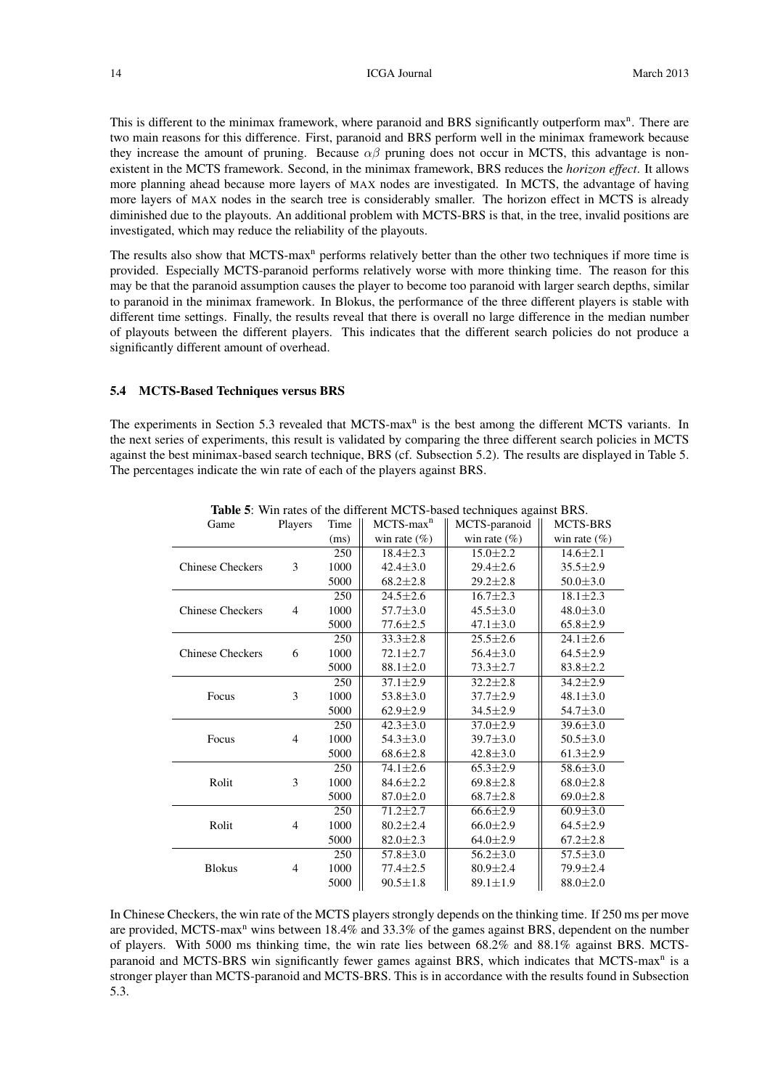This is different to the minimax framework, where paranoid and BRS significantly outperform max<sup>n</sup>. There are two main reasons for this difference. First, paranoid and BRS perform well in the minimax framework because they increase the amount of pruning. Because  $\alpha\beta$  pruning does not occur in MCTS, this advantage is nonexistent in the MCTS framework. Second, in the minimax framework, BRS reduces the *horizon effect*. It allows more planning ahead because more layers of MAX nodes are investigated. In MCTS, the advantage of having more layers of MAX nodes in the search tree is considerably smaller. The horizon effect in MCTS is already diminished due to the playouts. An additional problem with MCTS-BRS is that, in the tree, invalid positions are investigated, which may reduce the reliability of the playouts.

The results also show that MCTS-max<sup>n</sup> performs relatively better than the other two techniques if more time is provided. Especially MCTS-paranoid performs relatively worse with more thinking time. The reason for this may be that the paranoid assumption causes the player to become too paranoid with larger search depths, similar to paranoid in the minimax framework. In Blokus, the performance of the three different players is stable with different time settings. Finally, the results reveal that there is overall no large difference in the median number of playouts between the different players. This indicates that the different search policies do not produce a significantly different amount of overhead.

#### 5.4 MCTS-Based Techniques versus BRS

The experiments in Section 5.3 revealed that MCTS-max<sup>n</sup> is the best among the different MCTS variants. In the next series of experiments, this result is validated by comparing the three different search policies in MCTS against the best minimax-based search technique, BRS (cf. Subsection 5.2). The results are displayed in Table 5. The percentages indicate the win rate of each of the players against BRS.

| Game                    | Players        | Time | $MCTS$ -max <sup>n</sup> | MCTS-paranoid    | <b>MCTS-BRS</b>  |
|-------------------------|----------------|------|--------------------------|------------------|------------------|
|                         |                | (ms) | win rate $(\% )$         | win rate $(\% )$ | win rate $(\% )$ |
|                         |                | 250  | $18.4 \pm 2.3$           | $15.0 \pm 2.2$   | $14.6 \pm 2.1$   |
| <b>Chinese Checkers</b> | 3              | 1000 | $42.4 \pm 3.0$           | $29.4 \pm 2.6$   | $35.5 \pm 2.9$   |
|                         |                | 5000 | $68.2 \pm 2.8$           | $29.2 \pm 2.8$   | $50.0 \pm 3.0$   |
|                         |                | 250  | $24.5 \pm 2.6$           | $16.7 \pm 2.3$   | $18.1 \pm 2.3$   |
| <b>Chinese Checkers</b> | $\overline{4}$ | 1000 | $57.7 \pm 3.0$           | $45.5 \pm 3.0$   | $48.0 \pm 3.0$   |
|                         |                | 5000 | $77.6 \pm 2.5$           | $47.1 \pm 3.0$   | $65.8 \pm 2.9$   |
|                         |                | 250  | $33.3 \pm 2.8$           | $25.5 \pm 2.6$   | $24.1 \pm 2.6$   |
| <b>Chinese Checkers</b> | 6              | 1000 | $72.1 \pm 2.7$           | $56.4 \pm 3.0$   | $64.5 \pm 2.9$   |
|                         |                | 5000 | $88.1 \pm 2.0$           | $73.3 \pm 2.7$   | $83.8 \pm 2.2$   |
|                         |                | 250  | $37.1 \pm 2.9$           | $32.2 \pm 2.8$   | $34.2 \pm 2.9$   |
| Focus                   | 3              | 1000 | $53.8 \pm 3.0$           | $37.7 \pm 2.9$   | $48.1 \pm 3.0$   |
|                         |                | 5000 | $62.9 \pm 2.9$           | $34.5 \pm 2.9$   | $54.7 \pm 3.0$   |
|                         |                | 250  | $42.3 \pm 3.0$           | $37.0 \pm 2.9$   | $39.6 \pm 3.0$   |
| Focus                   | $\overline{4}$ | 1000 | $54.3 \pm 3.0$           | $39.7 \pm 3.0$   | $50.5 \pm 3.0$   |
|                         |                | 5000 | $68.6 \pm 2.8$           | $42.8 \pm 3.0$   | $61.3 \pm 2.9$   |
|                         |                | 250  | $74.1 \pm 2.6$           | $65.3 \pm 2.9$   | $58.6 \pm 3.0$   |
| Rolit                   | 3              | 1000 | $84.6 \pm 2.2$           | $69.8 \pm 2.8$   | $68.0 \pm 2.8$   |
|                         |                | 5000 | $87.0 \pm 2.0$           | $68.7 \pm 2.8$   | $69.0 \pm 2.8$   |
|                         |                | 250  | $71.2 \pm 2.7$           | $66.6 \pm 2.9$   | $60.9 \pm 3.0$   |
| Rolit                   | $\overline{4}$ | 1000 | $80.2 \pm 2.4$           | $66.0 \pm 2.9$   | $64.5 \pm 2.9$   |
|                         |                | 5000 | $82.0 \pm 2.3$           | $64.0 \pm 2.9$   | $67.2 \pm 2.8$   |
|                         |                | 250  | $57.8 \pm 3.0$           | $56.2 \pm 3.0$   | $57.5 \pm 3.0$   |
| <b>Blokus</b>           | $\overline{4}$ | 1000 | $77.4 \pm 2.5$           | $80.9 \pm 2.4$   | 79.9 ± 2.4       |
|                         |                | 5000 | $90.5 \pm 1.8$           | $89.1 \pm 1.9$   | $88.0 \pm 2.0$   |

Table 5: Win rates of the different MCTS-based techniques against BRS.

In Chinese Checkers, the win rate of the MCTS players strongly depends on the thinking time. If 250 ms per move are provided, MCTS-max<sup>n</sup> wins between 18.4% and 33.3% of the games against BRS, dependent on the number of players. With 5000 ms thinking time, the win rate lies between 68.2% and 88.1% against BRS. MCTSparanoid and MCTS-BRS win significantly fewer games against BRS, which indicates that MCTS-max<sup>n</sup> is a stronger player than MCTS-paranoid and MCTS-BRS. This is in accordance with the results found in Subsection 5.3.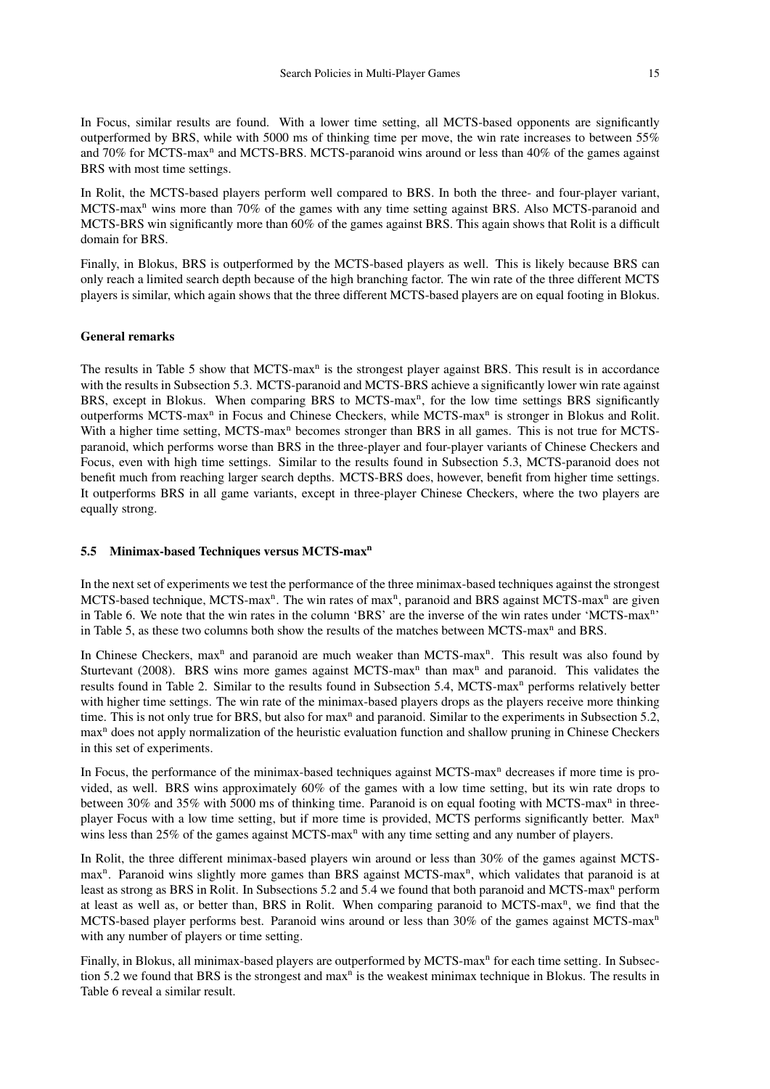In Focus, similar results are found. With a lower time setting, all MCTS-based opponents are significantly outperformed by BRS, while with 5000 ms of thinking time per move, the win rate increases to between 55% and 70% for MCTS-max<sup>n</sup> and MCTS-BRS. MCTS-paranoid wins around or less than 40% of the games against BRS with most time settings.

In Rolit, the MCTS-based players perform well compared to BRS. In both the three- and four-player variant, MCTS-max<sup>n</sup> wins more than 70% of the games with any time setting against BRS. Also MCTS-paranoid and MCTS-BRS win significantly more than 60% of the games against BRS. This again shows that Rolit is a difficult domain for BRS.

Finally, in Blokus, BRS is outperformed by the MCTS-based players as well. This is likely because BRS can only reach a limited search depth because of the high branching factor. The win rate of the three different MCTS players is similar, which again shows that the three different MCTS-based players are on equal footing in Blokus.

## General remarks

The results in Table 5 show that MCTS-max<sup>n</sup> is the strongest player against BRS. This result is in accordance with the results in Subsection 5.3. MCTS-paranoid and MCTS-BRS achieve a significantly lower win rate against BRS, except in Blokus. When comparing BRS to MCTS-max<sup>n</sup>, for the low time settings BRS significantly outperforms MCTS-max<sup>n</sup> in Focus and Chinese Checkers, while MCTS-max<sup>n</sup> is stronger in Blokus and Rolit. With a higher time setting, MCTS-max<sup>n</sup> becomes stronger than BRS in all games. This is not true for MCTSparanoid, which performs worse than BRS in the three-player and four-player variants of Chinese Checkers and Focus, even with high time settings. Similar to the results found in Subsection 5.3, MCTS-paranoid does not benefit much from reaching larger search depths. MCTS-BRS does, however, benefit from higher time settings. It outperforms BRS in all game variants, except in three-player Chinese Checkers, where the two players are equally strong.

# 5.5 Minimax-based Techniques versus MCTS-max<sup>n</sup>

In the next set of experiments we test the performance of the three minimax-based techniques against the strongest MCTS-based technique, MCTS-max<sup>n</sup>. The win rates of max<sup>n</sup>, paranoid and BRS against MCTS-max<sup>n</sup> are given in Table 6. We note that the win rates in the column 'BRS' are the inverse of the win rates under 'MCTS-max<sup>n</sup>' in Table 5, as these two columns both show the results of the matches between MCTS-max<sup>n</sup> and BRS.

In Chinese Checkers, max<sup>n</sup> and paranoid are much weaker than MCTS-max<sup>n</sup>. This result was also found by Sturtevant (2008). BRS wins more games against MCTS-max<sup>n</sup> than max<sup>n</sup> and paranoid. This validates the results found in Table 2. Similar to the results found in Subsection 5.4, MCTS-max<sup>n</sup> performs relatively better with higher time settings. The win rate of the minimax-based players drops as the players receive more thinking time. This is not only true for BRS, but also for max<sup>n</sup> and paranoid. Similar to the experiments in Subsection 5.2, max<sup>n</sup> does not apply normalization of the heuristic evaluation function and shallow pruning in Chinese Checkers in this set of experiments.

In Focus, the performance of the minimax-based techniques against  $MCTS$ -max<sup>n</sup> decreases if more time is provided, as well. BRS wins approximately 60% of the games with a low time setting, but its win rate drops to between 30% and 35% with 5000 ms of thinking time. Paranoid is on equal footing with MCTS-max<sup>n</sup> in threeplayer Focus with a low time setting, but if more time is provided, MCTS performs significantly better. Max<sup>n</sup> wins less than  $25\%$  of the games against MCTS-max<sup>n</sup> with any time setting and any number of players.

In Rolit, the three different minimax-based players win around or less than 30% of the games against MCTSmax<sup>n</sup>. Paranoid wins slightly more games than BRS against MCTS-max<sup>n</sup>, which validates that paranoid is at least as strong as BRS in Rolit. In Subsections 5.2 and 5.4 we found that both paranoid and MCTS-max<sup>n</sup> perform at least as well as, or better than, BRS in Rolit. When comparing paranoid to MCTS-max<sup>n</sup>, we find that the MCTS-based player performs best. Paranoid wins around or less than 30% of the games against MCTS-max<sup>n</sup> with any number of players or time setting.

Finally, in Blokus, all minimax-based players are outperformed by MCTS-max<sup>n</sup> for each time setting. In Subsection 5.2 we found that BRS is the strongest and  $max<sup>n</sup>$  is the weakest minimax technique in Blokus. The results in Table 6 reveal a similar result.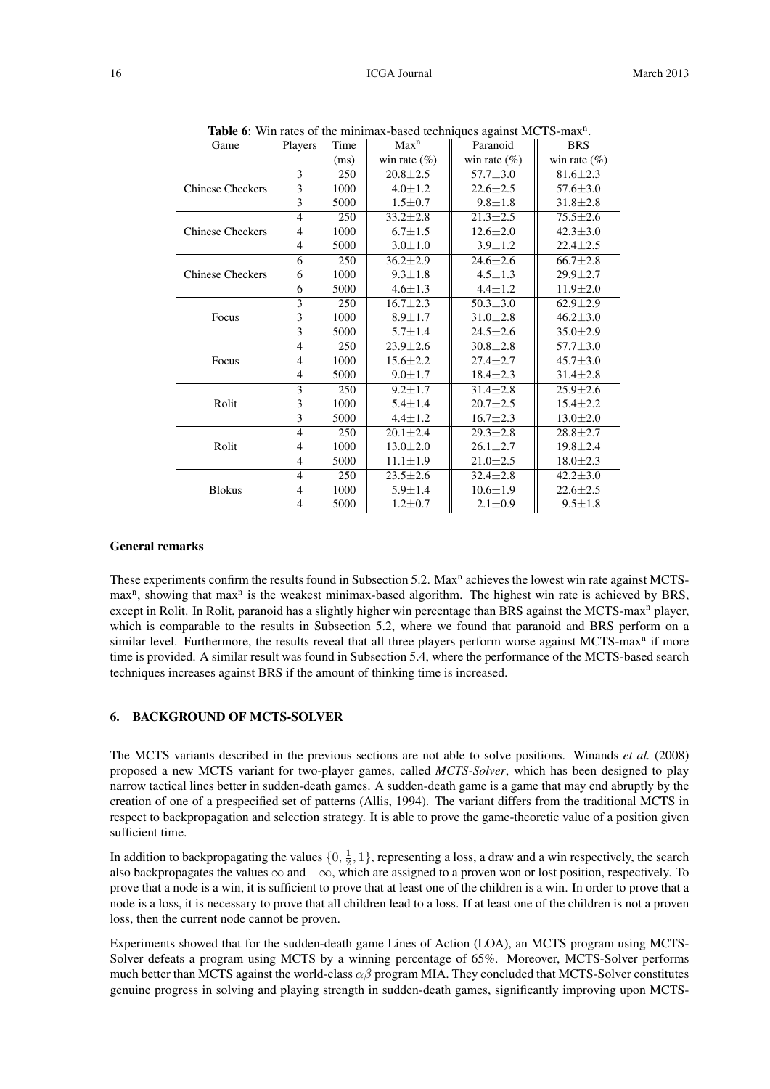| Game                    | Players        | Time | Max <sup>n</sup> | of the numerical cased techniques against $m$ or $\sigma$<br>Paranoid | <b>BRS</b>      |
|-------------------------|----------------|------|------------------|-----------------------------------------------------------------------|-----------------|
|                         |                | (ms) | win rate $(\%)$  | win rate $(\%)$                                                       | win rate $(\%)$ |
|                         | 3              | 250  | $20.8 \pm 2.5$   | $57.7 \pm 3.0$                                                        | $81.6 \pm 2.3$  |
| <b>Chinese Checkers</b> | 3              | 1000 | $4.0 \pm 1.2$    | $22.6 \pm 2.5$                                                        | $57.6 \pm 3.0$  |
|                         | 3              | 5000 | $1.5 \pm 0.7$    | $9.8 \pm 1.8$                                                         | $31.8 \pm 2.8$  |
|                         | $\overline{4}$ | 250  | $33.2 \pm 2.8$   | $21.3 \pm 2.5$                                                        | $75.5 \pm 2.6$  |
| <b>Chinese Checkers</b> | $\overline{4}$ | 1000 | $6.7 \pm 1.5$    | $12.6 \pm 2.0$                                                        | $42.3 \pm 3.0$  |
|                         | $\overline{4}$ | 5000 | $3.0 \pm 1.0$    | $3.9 \pm 1.2$                                                         | $22.4 \pm 2.5$  |
|                         | 6              | 250  | $36.2 \pm 2.9$   | $24.6 \pm 2.6$                                                        | $66.7 \pm 2.8$  |
| <b>Chinese Checkers</b> | 6              | 1000 | $9.3 \pm 1.8$    | $4.5 \pm 1.3$                                                         | $29.9 \pm 2.7$  |
|                         | 6              | 5000 | $4.6 \pm 1.3$    | $4.4 \pm 1.2$                                                         | $11.9 \pm 2.0$  |
|                         | 3              | 250  | $16.7 \pm 2.3$   | $50.3 \pm 3.0$                                                        | $62.9 \pm 2.9$  |
| Focus                   | 3              | 1000 | $8.9 \pm 1.7$    | $31.0 \pm 2.8$                                                        | $46.2 \pm 3.0$  |
|                         | 3              | 5000 | $5.7 \pm 1.4$    | $24.5 \pm 2.6$                                                        | $35.0 \pm 2.9$  |
|                         | $\overline{4}$ | 250  | $23.9 \pm 2.6$   | $30.8 \pm 2.8$                                                        | $57.7 \pm 3.0$  |
| Focus                   | $\overline{4}$ | 1000 | $15.6 \pm 2.2$   | $27.4 \pm 2.7$                                                        | $45.7 \pm 3.0$  |
|                         | $\overline{4}$ | 5000 | $9.0 \pm 1.7$    | $18.4 \pm 2.3$                                                        | $31.4 \pm 2.8$  |
|                         | 3              | 250  | $9.2 \pm 1.7$    | $31.4 \pm 2.8$                                                        | $25.9 \pm 2.6$  |
| Rolit                   | 3              | 1000 | $5.4 \pm 1.4$    | $20.7 \pm 2.5$                                                        | $15.4 \pm 2.2$  |
|                         | 3              | 5000 | $4.4 \pm 1.2$    | $16.7 \pm 2.3$                                                        | $13.0 \pm 2.0$  |
|                         | $\overline{4}$ | 250  | $20.1 \pm 2.4$   | $29.3 \pm 2.8$                                                        | $28.8 \pm 2.7$  |
| Rolit                   | $\overline{4}$ | 1000 | $13.0 \pm 2.0$   | $26.1 \pm 2.7$                                                        | $19.8 \pm 2.4$  |
|                         | $\overline{4}$ | 5000 | $11.1 \pm 1.9$   | $21.0 \pm 2.5$                                                        | $18.0 \pm 2.3$  |
|                         | $\overline{4}$ | 250  | $23.5 \pm 2.6$   | $32.4 \pm 2.8$                                                        | $42.2 \pm 3.0$  |
| <b>Blokus</b>           | $\overline{4}$ | 1000 | $5.9 \pm 1.4$    | $10.6 \pm 1.9$                                                        | $22.6 \pm 2.5$  |
|                         | $\overline{4}$ | 5000 | $1.2 \pm 0.7$    | $2.1 \pm 0.9$                                                         | $9.5 \pm 1.8$   |

Table 6: Win rates of the minimax-based techniques against MCTS-max<sup>n</sup> .

#### General remarks

These experiments confirm the results found in Subsection 5.2. Max<sup>n</sup> achieves the lowest win rate against MCTSmax<sup>n</sup>, showing that max<sup>n</sup> is the weakest minimax-based algorithm. The highest win rate is achieved by BRS, except in Rolit. In Rolit, paranoid has a slightly higher win percentage than BRS against the MCTS-max<sup>n</sup> player, which is comparable to the results in Subsection 5.2, where we found that paranoid and BRS perform on a similar level. Furthermore, the results reveal that all three players perform worse against MCTS-max<sup>n</sup> if more time is provided. A similar result was found in Subsection 5.4, where the performance of the MCTS-based search techniques increases against BRS if the amount of thinking time is increased.

# 6. BACKGROUND OF MCTS-SOLVER

The MCTS variants described in the previous sections are not able to solve positions. Winands *et al.* (2008) proposed a new MCTS variant for two-player games, called *MCTS-Solver*, which has been designed to play narrow tactical lines better in sudden-death games. A sudden-death game is a game that may end abruptly by the creation of one of a prespecified set of patterns (Allis, 1994). The variant differs from the traditional MCTS in respect to backpropagation and selection strategy. It is able to prove the game-theoretic value of a position given sufficient time.

In addition to backpropagating the values  $\{0, \frac{1}{2}, 1\}$ , representing a loss, a draw and a win respectively, the search also backpropagates the values  $\infty$  and  $-\infty$ , which are assigned to a proven won or lost position, respectively. To prove that a node is a win, it is sufficient to prove that at least one of the children is a win. In order to prove that a node is a loss, it is necessary to prove that all children lead to a loss. If at least one of the children is not a proven loss, then the current node cannot be proven.

Experiments showed that for the sudden-death game Lines of Action (LOA), an MCTS program using MCTS-Solver defeats a program using MCTS by a winning percentage of 65%. Moreover, MCTS-Solver performs much better than MCTS against the world-class  $\alpha\beta$  program MIA. They concluded that MCTS-Solver constitutes genuine progress in solving and playing strength in sudden-death games, significantly improving upon MCTS-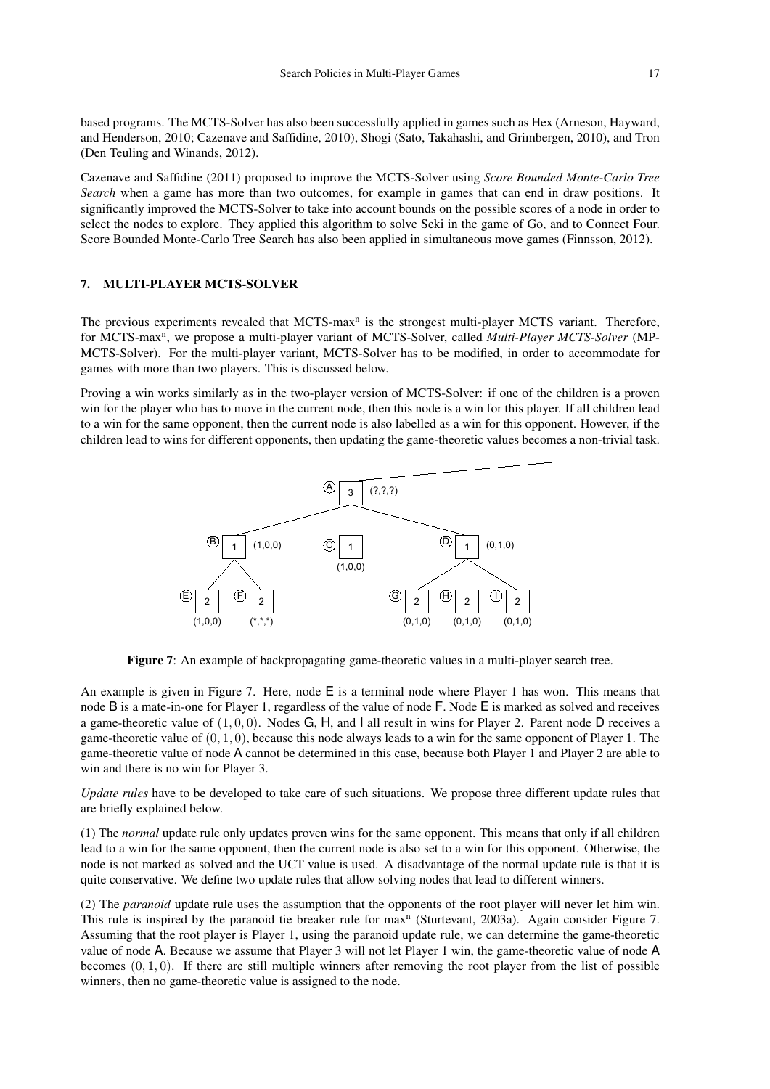based programs. The MCTS-Solver has also been successfully applied in games such as Hex (Arneson, Hayward, and Henderson, 2010; Cazenave and Saffidine, 2010), Shogi (Sato, Takahashi, and Grimbergen, 2010), and Tron (Den Teuling and Winands, 2012).

Cazenave and Saffidine (2011) proposed to improve the MCTS-Solver using *Score Bounded Monte-Carlo Tree Search* when a game has more than two outcomes, for example in games that can end in draw positions. It significantly improved the MCTS-Solver to take into account bounds on the possible scores of a node in order to select the nodes to explore. They applied this algorithm to solve Seki in the game of Go, and to Connect Four. Score Bounded Monte-Carlo Tree Search has also been applied in simultaneous move games (Finnsson, 2012).

# 7. MULTI-PLAYER MCTS-SOLVER

The previous experiments revealed that MCTS-max<sup>n</sup> is the strongest multi-player MCTS variant. Therefore, for MCTS-max<sup>n</sup>, we propose a multi-player variant of MCTS-Solver, called *Multi-Player MCTS-Solver* (MP-MCTS-Solver). For the multi-player variant, MCTS-Solver has to be modified, in order to accommodate for games with more than two players. This is discussed below.

Proving a win works similarly as in the two-player version of MCTS-Solver: if one of the children is a proven win for the player who has to move in the current node, then this node is a win for this player. If all children lead to a win for the same opponent, then the current node is also labelled as a win for this opponent. However, if the children lead to wins for different opponents, then updating the game-theoretic values becomes a non-trivial task.



Figure 7: An example of backpropagating game-theoretic values in a multi-player search tree.

An example is given in Figure 7. Here, node E is a terminal node where Player 1 has won. This means that node B is a mate-in-one for Player 1, regardless of the value of node F. Node E is marked as solved and receives a game-theoretic value of  $(1, 0, 0)$ . Nodes G, H, and I all result in wins for Player 2. Parent node D receives a game-theoretic value of  $(0, 1, 0)$ , because this node always leads to a win for the same opponent of Player 1. The game-theoretic value of node A cannot be determined in this case, because both Player 1 and Player 2 are able to win and there is no win for Player 3.

*Update rules* have to be developed to take care of such situations. We propose three different update rules that are briefly explained below.

(1) The *normal* update rule only updates proven wins for the same opponent. This means that only if all children lead to a win for the same opponent, then the current node is also set to a win for this opponent. Otherwise, the node is not marked as solved and the UCT value is used. A disadvantage of the normal update rule is that it is quite conservative. We define two update rules that allow solving nodes that lead to different winners.

(2) The *paranoid* update rule uses the assumption that the opponents of the root player will never let him win. This rule is inspired by the paranoid tie breaker rule for max<sup>n</sup> (Sturtevant, 2003a). Again consider Figure 7. Assuming that the root player is Player 1, using the paranoid update rule, we can determine the game-theoretic value of node A. Because we assume that Player 3 will not let Player 1 win, the game-theoretic value of node A becomes  $(0, 1, 0)$ . If there are still multiple winners after removing the root player from the list of possible winners, then no game-theoretic value is assigned to the node.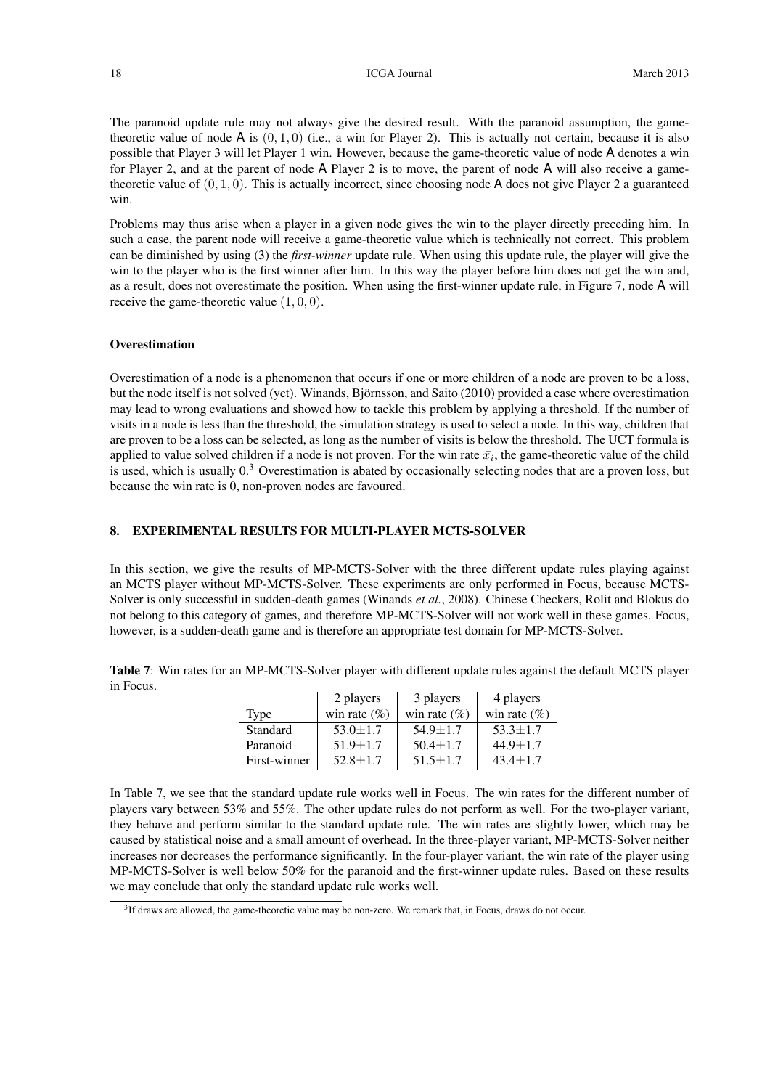The paranoid update rule may not always give the desired result. With the paranoid assumption, the gametheoretic value of node  $A$  is  $(0, 1, 0)$  (i.e., a win for Player 2). This is actually not certain, because it is also possible that Player 3 will let Player 1 win. However, because the game-theoretic value of node A denotes a win for Player 2, and at the parent of node A Player 2 is to move, the parent of node A will also receive a gametheoretic value of  $(0, 1, 0)$ . This is actually incorrect, since choosing node A does not give Player 2 a guaranteed win.

Problems may thus arise when a player in a given node gives the win to the player directly preceding him. In such a case, the parent node will receive a game-theoretic value which is technically not correct. This problem can be diminished by using (3) the *first-winner* update rule. When using this update rule, the player will give the win to the player who is the first winner after him. In this way the player before him does not get the win and, as a result, does not overestimate the position. When using the first-winner update rule, in Figure 7, node A will receive the game-theoretic value  $(1, 0, 0)$ .

#### **Overestimation**

Overestimation of a node is a phenomenon that occurs if one or more children of a node are proven to be a loss, but the node itself is not solved (yet). Winands, Björnsson, and Saito (2010) provided a case where overestimation may lead to wrong evaluations and showed how to tackle this problem by applying a threshold. If the number of visits in a node is less than the threshold, the simulation strategy is used to select a node. In this way, children that are proven to be a loss can be selected, as long as the number of visits is below the threshold. The UCT formula is applied to value solved children if a node is not proven. For the win rate  $\bar{x}_i$ , the game-theoretic value of the child is used, which is usually  $0.\overline{3}$  Overestimation is abated by occasionally selecting nodes that are a proven loss, but because the win rate is 0, non-proven nodes are favoured.

# 8. EXPERIMENTAL RESULTS FOR MULTI-PLAYER MCTS-SOLVER

In this section, we give the results of MP-MCTS-Solver with the three different update rules playing against an MCTS player without MP-MCTS-Solver. These experiments are only performed in Focus, because MCTS-Solver is only successful in sudden-death games (Winands *et al.*, 2008). Chinese Checkers, Rolit and Blokus do not belong to this category of games, and therefore MP-MCTS-Solver will not work well in these games. Focus, however, is a sudden-death game and is therefore an appropriate test domain for MP-MCTS-Solver.

Table 7: Win rates for an MP-MCTS-Solver player with different update rules against the default MCTS player in Focus.

|              | 2 players        | 3 players        | 4 players        |
|--------------|------------------|------------------|------------------|
| Type         | win rate $(\% )$ | win rate $(\% )$ | win rate $(\% )$ |
| Standard     | $53.0 \pm 1.7$   | $54.9 + 1.7$     | $53.3 \pm 1.7$   |
| Paranoid     | $51.9 \pm 1.7$   | $50.4 \pm 1.7$   | $44.9 \pm 1.7$   |
| First-winner | $52.8 \pm 1.7$   | $51.5 \pm 1.7$   | $43.4 \pm 1.7$   |

In Table 7, we see that the standard update rule works well in Focus. The win rates for the different number of players vary between 53% and 55%. The other update rules do not perform as well. For the two-player variant, they behave and perform similar to the standard update rule. The win rates are slightly lower, which may be caused by statistical noise and a small amount of overhead. In the three-player variant, MP-MCTS-Solver neither increases nor decreases the performance significantly. In the four-player variant, the win rate of the player using MP-MCTS-Solver is well below 50% for the paranoid and the first-winner update rules. Based on these results we may conclude that only the standard update rule works well.

<sup>&</sup>lt;sup>3</sup>If draws are allowed, the game-theoretic value may be non-zero. We remark that, in Focus, draws do not occur.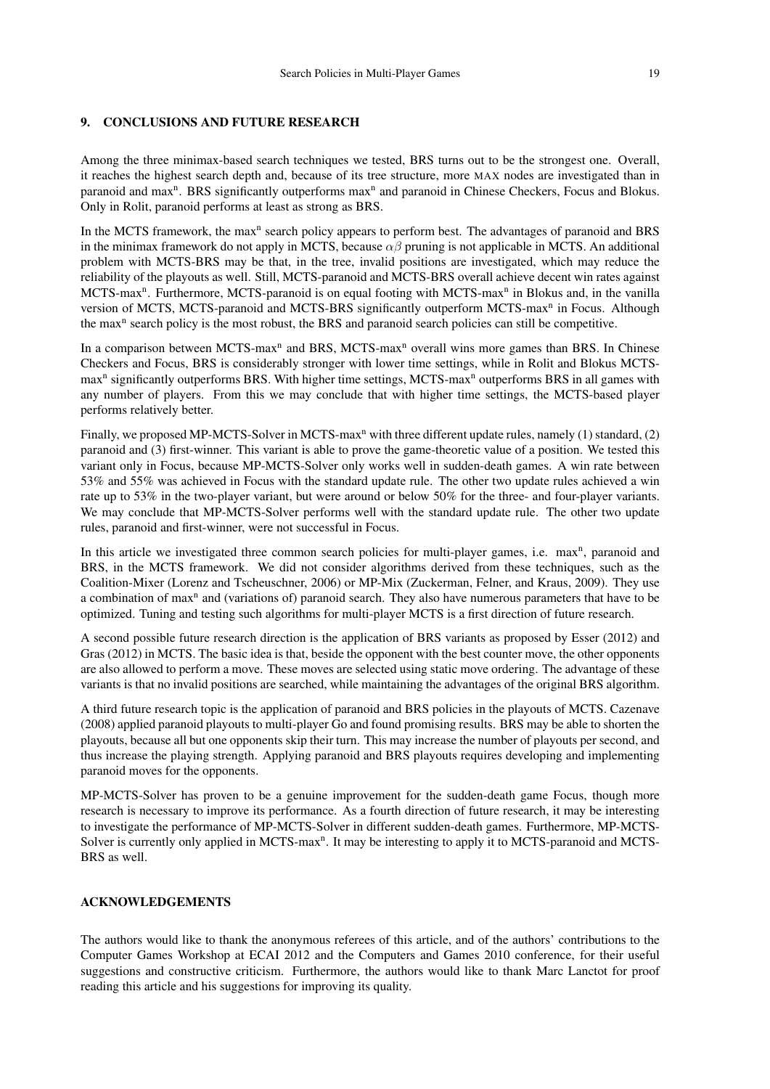Among the three minimax-based search techniques we tested, BRS turns out to be the strongest one. Overall, it reaches the highest search depth and, because of its tree structure, more MAX nodes are investigated than in paranoid and max<sup>n</sup>. BRS significantly outperforms max<sup>n</sup> and paranoid in Chinese Checkers, Focus and Blokus. Only in Rolit, paranoid performs at least as strong as BRS.

In the MCTS framework, the max<sup>n</sup> search policy appears to perform best. The advantages of paranoid and BRS in the minimax framework do not apply in MCTS, because  $\alpha\beta$  pruning is not applicable in MCTS. An additional problem with MCTS-BRS may be that, in the tree, invalid positions are investigated, which may reduce the reliability of the playouts as well. Still, MCTS-paranoid and MCTS-BRS overall achieve decent win rates against MCTS-max<sup>n</sup>. Furthermore, MCTS-paranoid is on equal footing with MCTS-max<sup>n</sup> in Blokus and, in the vanilla version of MCTS, MCTS-paranoid and MCTS-BRS significantly outperform MCTS-max<sup>n</sup> in Focus. Although the max<sup>n</sup> search policy is the most robust, the BRS and paranoid search policies can still be competitive.

In a comparison between MCTS-max<sup>n</sup> and BRS, MCTS-max<sup>n</sup> overall wins more games than BRS. In Chinese Checkers and Focus, BRS is considerably stronger with lower time settings, while in Rolit and Blokus MCTSmax<sup>n</sup> significantly outperforms BRS. With higher time settings, MCTS-max<sup>n</sup> outperforms BRS in all games with any number of players. From this we may conclude that with higher time settings, the MCTS-based player performs relatively better.

Finally, we proposed MP-MCTS-Solver in MCTS-max<sup>n</sup> with three different update rules, namely (1) standard, (2) paranoid and (3) first-winner. This variant is able to prove the game-theoretic value of a position. We tested this variant only in Focus, because MP-MCTS-Solver only works well in sudden-death games. A win rate between 53% and 55% was achieved in Focus with the standard update rule. The other two update rules achieved a win rate up to 53% in the two-player variant, but were around or below 50% for the three- and four-player variants. We may conclude that MP-MCTS-Solver performs well with the standard update rule. The other two update rules, paranoid and first-winner, were not successful in Focus.

In this article we investigated three common search policies for multi-player games, i.e. max<sup>n</sup>, paranoid and BRS, in the MCTS framework. We did not consider algorithms derived from these techniques, such as the Coalition-Mixer (Lorenz and Tscheuschner, 2006) or MP-Mix (Zuckerman, Felner, and Kraus, 2009). They use a combination of max<sup>n</sup> and (variations of) paranoid search. They also have numerous parameters that have to be optimized. Tuning and testing such algorithms for multi-player MCTS is a first direction of future research.

A second possible future research direction is the application of BRS variants as proposed by Esser (2012) and Gras (2012) in MCTS. The basic idea is that, beside the opponent with the best counter move, the other opponents are also allowed to perform a move. These moves are selected using static move ordering. The advantage of these variants is that no invalid positions are searched, while maintaining the advantages of the original BRS algorithm.

A third future research topic is the application of paranoid and BRS policies in the playouts of MCTS. Cazenave (2008) applied paranoid playouts to multi-player Go and found promising results. BRS may be able to shorten the playouts, because all but one opponents skip their turn. This may increase the number of playouts per second, and thus increase the playing strength. Applying paranoid and BRS playouts requires developing and implementing paranoid moves for the opponents.

MP-MCTS-Solver has proven to be a genuine improvement for the sudden-death game Focus, though more research is necessary to improve its performance. As a fourth direction of future research, it may be interesting to investigate the performance of MP-MCTS-Solver in different sudden-death games. Furthermore, MP-MCTS-Solver is currently only applied in MCTS-max<sup>n</sup>. It may be interesting to apply it to MCTS-paranoid and MCTS-BRS as well.

# ACKNOWLEDGEMENTS

The authors would like to thank the anonymous referees of this article, and of the authors' contributions to the Computer Games Workshop at ECAI 2012 and the Computers and Games 2010 conference, for their useful suggestions and constructive criticism. Furthermore, the authors would like to thank Marc Lanctot for proof reading this article and his suggestions for improving its quality.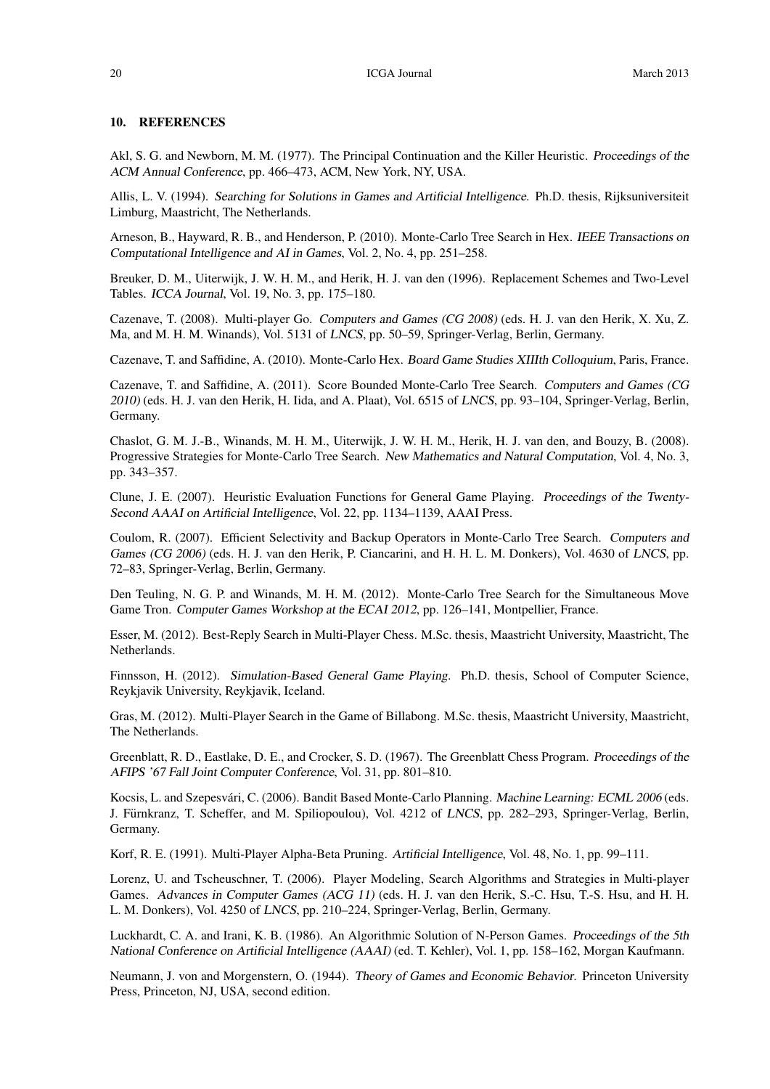#### 10. REFERENCES

Akl, S. G. and Newborn, M. M. (1977). The Principal Continuation and the Killer Heuristic. Proceedings of the ACM Annual Conference, pp. 466–473, ACM, New York, NY, USA.

Allis, L. V. (1994). Searching for Solutions in Games and Artificial Intelligence. Ph.D. thesis, Rijksuniversiteit Limburg, Maastricht, The Netherlands.

Arneson, B., Hayward, R. B., and Henderson, P. (2010). Monte-Carlo Tree Search in Hex. IEEE Transactions on Computational Intelligence and AI in Games, Vol. 2, No. 4, pp. 251–258.

Breuker, D. M., Uiterwijk, J. W. H. M., and Herik, H. J. van den (1996). Replacement Schemes and Two-Level Tables. ICCA Journal, Vol. 19, No. 3, pp. 175–180.

Cazenave, T. (2008). Multi-player Go. Computers and Games (CG 2008) (eds. H. J. van den Herik, X. Xu, Z. Ma, and M. H. M. Winands), Vol. 5131 of LNCS, pp. 50–59, Springer-Verlag, Berlin, Germany.

Cazenave, T. and Saffidine, A. (2010). Monte-Carlo Hex. Board Game Studies XIIIth Colloquium, Paris, France.

Cazenave, T. and Saffidine, A. (2011). Score Bounded Monte-Carlo Tree Search. Computers and Games (CG 2010) (eds. H. J. van den Herik, H. Iida, and A. Plaat), Vol. 6515 of LNCS, pp. 93–104, Springer-Verlag, Berlin, Germany.

Chaslot, G. M. J.-B., Winands, M. H. M., Uiterwijk, J. W. H. M., Herik, H. J. van den, and Bouzy, B. (2008). Progressive Strategies for Monte-Carlo Tree Search. New Mathematics and Natural Computation, Vol. 4, No. 3, pp. 343–357.

Clune, J. E. (2007). Heuristic Evaluation Functions for General Game Playing. Proceedings of the Twenty-Second AAAI on Artificial Intelligence, Vol. 22, pp. 1134–1139, AAAI Press.

Coulom, R. (2007). Efficient Selectivity and Backup Operators in Monte-Carlo Tree Search. Computers and Games (CG 2006) (eds. H. J. van den Herik, P. Ciancarini, and H. H. L. M. Donkers), Vol. 4630 of LNCS, pp. 72–83, Springer-Verlag, Berlin, Germany.

Den Teuling, N. G. P. and Winands, M. H. M. (2012). Monte-Carlo Tree Search for the Simultaneous Move Game Tron. Computer Games Workshop at the ECAI 2012, pp. 126–141, Montpellier, France.

Esser, M. (2012). Best-Reply Search in Multi-Player Chess. M.Sc. thesis, Maastricht University, Maastricht, The Netherlands.

Finnsson, H. (2012). Simulation-Based General Game Playing. Ph.D. thesis, School of Computer Science, Reykjavik University, Reykjavik, Iceland.

Gras, M. (2012). Multi-Player Search in the Game of Billabong. M.Sc. thesis, Maastricht University, Maastricht, The Netherlands.

Greenblatt, R. D., Eastlake, D. E., and Crocker, S. D. (1967). The Greenblatt Chess Program. Proceedings of the AFIPS '67 Fall Joint Computer Conference, Vol. 31, pp. 801–810.

Kocsis, L. and Szepesvári, C. (2006). Bandit Based Monte-Carlo Planning. Machine Learning: ECML 2006 (eds. J. Fürnkranz, T. Scheffer, and M. Spiliopoulou), Vol. 4212 of LNCS, pp. 282–293, Springer-Verlag, Berlin, Germany.

Korf, R. E. (1991). Multi-Player Alpha-Beta Pruning. Artificial Intelligence, Vol. 48, No. 1, pp. 99–111.

Lorenz, U. and Tscheuschner, T. (2006). Player Modeling, Search Algorithms and Strategies in Multi-player Games. Advances in Computer Games (ACG 11) (eds. H. J. van den Herik, S.-C. Hsu, T.-S. Hsu, and H. H. L. M. Donkers), Vol. 4250 of LNCS, pp. 210–224, Springer-Verlag, Berlin, Germany.

Luckhardt, C. A. and Irani, K. B. (1986). An Algorithmic Solution of N-Person Games. Proceedings of the 5th National Conference on Artificial Intelligence (AAAI) (ed. T. Kehler), Vol. 1, pp. 158–162, Morgan Kaufmann.

Neumann, J. von and Morgenstern, O. (1944). Theory of Games and Economic Behavior. Princeton University Press, Princeton, NJ, USA, second edition.